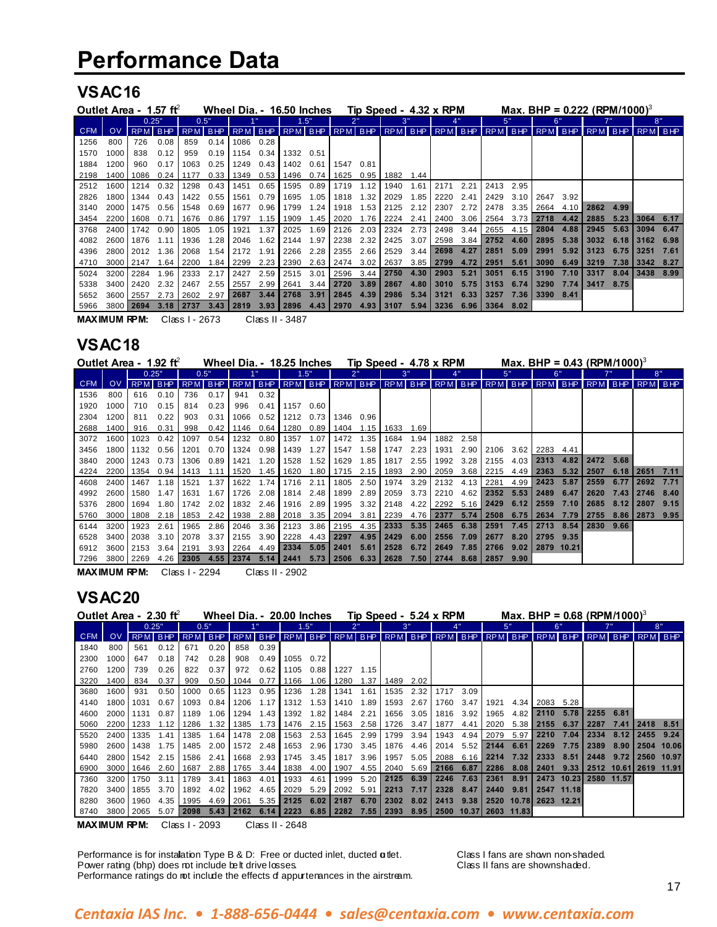### **VSAC16**

| Outlet Area - 1.57 ft |                  |           |      |               |      | Wheel Dia. - 16.50 Inches           |                   |                    |          |                     |      |             |      | Tip Speed - 4.32 x RPM |      |                |      |           |      | Max, BHP = $0.222$ (RPM/1000) <sup>3</sup>                                              |      |      |      |
|-----------------------|------------------|-----------|------|---------------|------|-------------------------------------|-------------------|--------------------|----------|---------------------|------|-------------|------|------------------------|------|----------------|------|-----------|------|-----------------------------------------------------------------------------------------|------|------|------|
|                       |                  | 0.25"     |      | 0.5"          |      |                                     |                   |                    | 1.5"     |                     |      | 3"          |      |                        |      |                | 5"   | 6"        |      |                                                                                         |      | 8"   |      |
| <b>CFM</b>            | <b>OV</b>        | RPM BHP   |      |               |      |                                     |                   |                    |          |                     |      |             |      |                        |      |                |      |           |      | RPM BHP RPM BHP RPM BHP RPM BHP RPM BHP RPM BHP RPM BHP RPM BHP RPM BHP RPM BHP RPM BHP |      |      |      |
| 1256                  | 800              | 726       | 0.08 | 859           | 0.14 | 1086 0.28                           |                   |                    |          |                     |      |             |      |                        |      |                |      |           |      |                                                                                         |      |      |      |
| 1570                  | 1000             | 838       | 0.12 | 959           |      | $0.19$   1154 0.34                  |                   | 1332               | 0.51     |                     |      |             |      |                        |      |                |      |           |      |                                                                                         |      |      |      |
| 1884                  | 1200             | 960       | 0.17 | 1063          | 0.25 | 1249                                | $0.43$            | 1402               | 0.61     | 1547                | 0.81 |             |      |                        |      |                |      |           |      |                                                                                         |      |      |      |
| 2198                  | $1400 \text{ I}$ | 1086      | 0.24 | 1177          |      | 0.33   1349 0.53   1496 0.74   1625 |                   |                    |          |                     |      | 0.95   1882 | 1.44 |                        |      |                |      |           |      |                                                                                         |      |      |      |
| 2512                  | 1600             | 1214      | 0.32 | 1298          | 0.43 | 11451                               | 0.65              | 1595               | 0.89 I   | 1719                | 1.12 | 1940        | 1.61 | 2171                   | 2.21 | 2413 2.95      |      |           |      |                                                                                         |      |      |      |
| 2826                  | 1800 I           | 1344      | 0.43 | 1422          | 0.55 | 1561                                | 0.79              | 1695               | 1.05     | 1818                | 1.32 | 2029        | 1.85 | 2220                   | 2.41 | 2429           | 3.10 | 2647      | 3.92 |                                                                                         |      |      |      |
| 3140                  | 2000 l           | 1475      | 0.56 | 1548          | 0.69 | 1677                                | 0.96              | 1799               | 1.24     | 1918                | 1.53 | 2125        | 2.12 | 2307                   | 2.72 | 2478           | 3.35 | 2664 4.10 |      | 2862                                                                                    | 4.99 |      |      |
| 3454                  | 2200             | 1608      | 0.71 | 1676          | 0.86 | l 1797                              | $1.15$            | 1909               | $1.45$ I | 2020                | 1.76 | 2224        | 2.41 | 2400                   | 3.06 | 2564           | 3.73 | 2718      | 4.42 | 2885                                                                                    | 5.23 | 3064 | 6.17 |
| 3768                  | 2400 l           | 1742      | 0.90 | 1805          | 1.05 | 1921                                | 1.37 <sup>1</sup> | 2025               | 1.69     | 2126                |      | $2.03$ 2324 | 2.73 | 2498                   | 3.44 | 2655           | 4.15 | 2804      | 4.88 | 2945                                                                                    | 5.63 | 3094 | 6.47 |
| 4082                  | 2600             | 1876      | 1.11 | 1936          | 1.28 | 2046                                | 1.62              | 2144               | 1.97     | 2238                | 2.32 | 2425        | 3.07 | 2598                   | 3.84 | 2752 4.60      |      | 2895      | 5.38 | 3032                                                                                    | 6.18 | 3162 | 6.98 |
| 4396                  | 2800 L           | 2012      | 1.36 | 2068          | 1.54 | 2172                                | 1.91              | 2266               | 2.28     | 2355                | 2.66 | 2529        | 3.44 | 2698                   | 4.27 | 2851           | 5.09 | 2991      | 5.92 | 3123                                                                                    | 6.75 | 3251 | 7.61 |
| 4710                  | 3000 l           | 2147      | 1.64 | 2200          | 1.84 | 2299 2.23                           |                   | 2390               |          | 2.63 2474 3.02 2637 |      |             | 3.85 | 2799                   | 4.72 | 2951           | 5.61 | 3090      | 6.49 | 3219                                                                                    | 7.38 | 3342 | 8.27 |
| 5024                  | 3200 l           | 2284      | 1.96 | 2333          | 2.17 | 2427                                | 2.59              | 2515               | 3.01     | 2596                | 3.44 | 2750        | 4.30 | 2903                   | 5.21 | 3051 6.15      |      | 3190      | 7.10 | 3317                                                                                    | 8.04 | 3438 | 8.99 |
| 5338                  | 3400 l           | 2420      | 2.32 | 2467          | 2.55 | 2557                                | 2.99              | 2641               | 3.44     | 2720                | 3.89 | 2867        | 4.80 | 3010                   | 5.75 | 3153           | 6.74 | 3290      | 7.74 | 3417 8.75                                                                               |      |      |      |
| 5652                  | 3600 L           | 2557      | 2.73 | 2602          | 2.97 | l 2687                              |                   | $3.44$   2768 3.91 |          | 2845                | 4.39 | 2986        | 5.34 | 3121                   | 6.33 | 3257           | 7.36 | 3390      | 8.41 |                                                                                         |      |      |      |
| 5966                  |                  | 3800 2694 |      | $3.18$   2737 |      | 3.43   2819                         |                   | $3.93$   2896      |          | $4.43$   2970       | 4.93 | 3107        |      | $5.94$   3236          |      | 6.96 3364 8.02 |      |           |      |                                                                                         |      |      |      |

**MAXIMUM RPM:** Class I - 2673 Class II - 3487

### **VSAC18**

| Outlet Area - 1.92 ft |        |         |      |                                                  |          | Wheel Dia. - 18.25 Inches |          |                             |           |                     |      | Tip Speed - 4.78 x RPM |      |                    |      |                  |      |            |      | Max, BHP = 0.43 (RPM/1000) <sup>3</sup>                               |      |           |      |
|-----------------------|--------|---------|------|--------------------------------------------------|----------|---------------------------|----------|-----------------------------|-----------|---------------------|------|------------------------|------|--------------------|------|------------------|------|------------|------|-----------------------------------------------------------------------|------|-----------|------|
|                       |        | 0.25"   |      | 0.5"                                             |          |                           |          |                             | 1.5"      |                     |      |                        |      |                    |      | 5"               |      | 6"         |      |                                                                       |      | 8"        |      |
| CFM I                 | OV.    | RPM BHP |      |                                                  |          | RPM BHP RPM BHP RPM BHP   |          |                             |           |                     |      |                        |      |                    |      |                  |      |            |      | RPM   BHP   RPM   BHP   RPM   BHP   RPM   BHP   RPM   BHP   RPM   BHP |      | RPM BHP   |      |
| 1536                  | 800    | 616     | 0.10 | 736                                              | 0.17     | 941                       | 0.32     |                             |           |                     |      |                        |      |                    |      |                  |      |            |      |                                                                       |      |           |      |
| 1920                  | 1000   | 710     | 0.15 | 814                                              | 0.23     | 996                       | 0.41     | 1157 0.60                   |           |                     |      |                        |      |                    |      |                  |      |            |      |                                                                       |      |           |      |
| 2304                  | 1200   | 811     | 0.22 | 903                                              | 0.31     | 1066                      | $0.52$ I | 1212                        | 0.73      | 1346                | 0.96 |                        |      |                    |      |                  |      |            |      |                                                                       |      |           |      |
| 2688                  | 1400   | 916     | 0.31 | 998                                              | 0.42     | l 1146                    |          | 0.64 1280                   | 0.89      |                     |      | 1404 1.15   1633       | 1.69 |                    |      |                  |      |            |      |                                                                       |      |           |      |
| 3072                  | 1600   | 1023    | 0.42 | 1097                                             | 0.54     | 1232                      | 0.80     | 1357                        | 1.07      | 1472                | 1.35 | 1684                   | 1.94 | 1882               | 2.58 |                  |      |            |      |                                                                       |      |           |      |
| 3456                  | 1800 L | 1132    | 0.56 | 1201                                             |          | $0.70$ 1324               | 0.98     | 1439                        | 1.27      | 1547                | 1.58 | 1747                   | 2.23 | 1931               |      | 2.90 2106        | 3.62 | 2283       | 4.41 |                                                                       |      |           |      |
| 3840                  | 2000 l | 1243    | 0.73 | 1306                                             | 0.89     | 1421                      | 1.20     | 1528                        | 1.52      | 1629                | 1.85 | 1817                   | 2.55 | 1992               | 3.28 | 2155             | 4.03 | 2313       | 4.82 | 2472                                                                  | 5.68 |           |      |
| 4224                  | 2200 l | 1354    | 0.94 | 1413                                             | 1.11     | 1520                      | $1.45$ I | 1620                        | 1.80 I    | 1715                | 2.15 | 1893                   | 2.90 | 2059               |      | 3.68 2215        | 4.49 | l 2363     | 5.32 | 2507                                                                  | 6.18 | 2651 7.11 |      |
| 4608                  | 2400 l | 1467    | 1.18 | 1521                                             | 1.37     | 1622                      | 1.74     |                             | 1716 2.11 | 1805                | 2.50 | 1974 3.29              |      | 2132 4.13          |      | 2281             | 4.99 | 2423       | 5.87 | 2559                                                                  | 6.77 | 2692      | 7.71 |
| 4992                  | 2600 l | 1580    | 1.47 | 1631                                             | 1.67     | 1726                      |          | 2.08 1814 2.48              |           | 1899                | 2.89 | 2059                   | 3.73 | 2210               |      | $4.62$ 2352 5.53 |      | 2489       | 6.47 | 2620                                                                  | 7.43 | 2746      | 8.40 |
| 5376                  | 2800 L | 1694    | 1.80 | 1742                                             | 2.02     | 1832                      | 2.46     | 1916 2.89                   |           | 1995                | 3.32 | 2148                   |      | 4.22 2292          |      | $5.16$ 2429 6.12 |      | 2559       | 7.10 | 2685                                                                  | 8.12 | 2807      | 9.15 |
| 5760                  | 3000 l | 1808    | 2.18 | 1853                                             |          | 2.42 1938                 |          |                             |           | 2.88 2018 3.35 2094 |      | 3.81 2239              |      | 4.76 2377          |      | $5.74$   2508    | 6.75 | 2634       | 7.79 | 2755                                                                  | 8.86 | 2873      | 9.95 |
| 6144                  | 3200 l | 1923    | 2.61 |                                                  |          | 1965 2.86 2046            |          |                             |           | 3.36 2123 3.86 2195 |      | 4.35 2333              |      | $5.35$   2465 6.38 |      | 2591             | 7.45 | 2713       | 8.54 | 2830 9.66                                                             |      |           |      |
| 6528                  | 3400 I | 2038    | 3.10 | 2078                                             | 3.37     | 2155                      | 3.90     | 2228                        |           | 4.43 2297           | 4.95 | 2429                   | 6.00 | 2556               | 7.09 | 2677             | 8.20 | 2795       | 9.35 |                                                                       |      |           |      |
| 6912                  | 3600 L | 2153    | 3.64 | 2191                                             |          | $3.93 \mid 2264$          |          | 4.49 2334 5.05              |           | 2401                | 5.61 | 2528                   | 6.72 | 2649               | 7.85 | 2766             | 9.02 | 2879 10.21 |      |                                                                       |      |           |      |
| 7296                  | 3800 I | 2269    | 4.26 | 2305                                             | $4.55$ I | 2374                      |          | $5.14$   2441               | 5.73      | 2506                | 6.33 | 2628                   |      | 7.50 2744          |      | 8.68 2857        | 9.90 |            |      |                                                                       |      |           |      |
|                       |        |         |      | $\sim$ $\sim$ $\sim$ $\sim$ $\sim$ $\sim$ $\sim$ |          |                           |          | $\sim$ $\sim$ $\sim$ $\sim$ |           |                     |      |                        |      |                    |      |                  |      |            |      |                                                                       |      |           |      |

**MAXIMUM RPM:** Class I - 2294 Class II - 2902

### **VSAC20**

| Outlet Area - 2.30 ft |           |           |         |            |      | Wheel Dia. - 20.00 Inches |                     |      |           |           |      | Tip Speed - 5.24 x RPM |      |      |            |                     |            |                       |            | Max. BHP = $0.68$ (RPM/1000) <sup>3</sup>                                                           |      |           |            |
|-----------------------|-----------|-----------|---------|------------|------|---------------------------|---------------------|------|-----------|-----------|------|------------------------|------|------|------------|---------------------|------------|-----------------------|------------|-----------------------------------------------------------------------------------------------------|------|-----------|------------|
|                       |           |           | 0.25"   |            | 0.5" |                           |                     |      | 1.5"      |           |      | 3"                     |      |      |            | 5"                  |            |                       | ิ 6 "      |                                                                                                     |      |           | 8"         |
| <b>CFM</b>            | <b>OV</b> |           | RPM BHP | <b>RPM</b> |      |                           |                     |      |           |           |      |                        |      |      |            |                     |            |                       |            | BHP   RPM   BHP   RPM   BHP   RPM   BHP   RPM   BHP   RPM   BHP   RPM   BHP   RPM   BHP   RPM   BHP |      |           |            |
| 1840                  | 800       | 561       | 0.12    | 671        | 0.20 | 858                       | 0.39                |      |           |           |      |                        |      |      |            |                     |            |                       |            |                                                                                                     |      |           |            |
| 2300                  | 1000      | 647       | 0.18    | 742        | 0.28 | 908                       | $0.49$ I            | 1055 | 0.72      |           |      |                        |      |      |            |                     |            |                       |            |                                                                                                     |      |           |            |
| 2760                  | 1200      | 739       | 0.26    | 822        | 0.37 | 972                       | $0.62$ I            |      | 1105 0.88 | 1227      | 1.15 |                        |      |      |            |                     |            |                       |            |                                                                                                     |      |           |            |
| 3220                  | 1400 834  |           | 0.37    | 909        |      | $0.50$ 1044 0.77 1166     |                     |      |           | 1.06 1280 |      | 1.37 1489              | 2.02 |      |            |                     |            |                       |            |                                                                                                     |      |           |            |
| 3680                  | 1600      | 931       | 0.50    | 1000       |      | $0.65$ 1123               | $0.95$ I            | 1236 | 1.28      | 1341      | 1.61 | 1535                   | 2.32 | 1717 | 3.09       |                     |            |                       |            |                                                                                                     |      |           |            |
| 4140                  | 1800      | 1031      | 0.67    | 1093       | 0.84 | 1206                      | 1.17                | 1312 | 1.53      | 1410      | 1.89 | 1593                   | 2.67 | 1760 | 3.47       | 1921                | 4.34       | 2083 5.28             |            |                                                                                                     |      |           |            |
| 4600                  | 2000      | 1131      | 0.87    | 1189       | 1.06 | 1294                      | 1.43                | 1392 | 1.82      | 1484      | 2.21 | 1656                   | 3.05 | 1816 | 3.92       | 1965                | 4.82       | 2110                  | 5.78       | 2255                                                                                                | 6.81 |           |            |
| 5060                  | 2200      | 1233      | 1.12    | 1286       | 1.32 | 1385                      | 1.73 $\blacksquare$ | 1476 | 2.15      | 1563      | 2.58 | 1726                   | 3.47 | 1877 | 4.41       | 2020                | 5.38       | 2155                  | 6.37       | 2287                                                                                                | 7.41 | 2418      | 8.51       |
| 5520                  |           | 2400 1335 | 141     | 1385       |      | $1.64$   1478             | 2.08                | 1563 | 2.53      | 1645      | 2.99 | 1799                   | 3.94 | 1943 | 4.94       | 2079                | 5.97       | 2210                  | 7.04       | 2334                                                                                                | 8.12 | 2455 9.24 |            |
| 5980                  |           | 2600 1438 | 1.75    | 1485       |      | 2.00 1572                 | 2.48                | 1653 | 2.96      | 1730      | 3.45 | 1876                   | 4.46 | 2014 |            | $5.52$   2144       | 6.61       | 2269                  | 7.75       | 2389                                                                                                | 8.90 | 2504      | 10.06      |
| 6440                  |           | 2800 1542 | 2.15    | 1586       | 2.41 | 1668                      | $2.93$ I            |      | 1745 3.45 | 1817      | 3.96 | 1957                   | 5.05 |      |            | 2088 6.16 2214 7.32 |            | 2333                  | 8.51       | 2448                                                                                                | 9.72 | 2560      | 10.97      |
| 6900                  |           | 3000 1646 | 2.60    | l 1687     |      | 2.88 1765                 | $3.44$              | 1838 | 4.00      | 1907      | 4.55 | 2040                   | 5.69 | 2166 | 6.87       | 2286                | 8.08       | 2401                  | 9.33       | 2512 10.61                                                                                          |      |           | 2619 11.91 |
| 7360                  | 3200      | 1750      | 3.11    | 1789       | 3.41 | 1863                      | 4.01                | 1933 | 4.61      | 1999      | 5.20 | 2125                   | 6.39 | 2246 | 7.63       | 2361                | 8.91       |                       | 2473 10.23 | 2580 11.57                                                                                          |      |           |            |
| 7820                  | 3400      | 1855      | 3.70    | 1892       | 4.02 | 1962                      | 4.65                | 2029 | 5.29      | 2092      | 5.91 | 2213                   | 7.17 | 2328 | 8.47       | 2440                | 9.81       |                       | 2547 11.18 |                                                                                                     |      |           |            |
| 8280                  | 3600      | 1960      | 4.35    | 1995       |      | 4.69 2061                 | 5.35                | 2125 | 6.02      | 2187      | 6.70 | 2302                   | 8.02 |      | 2413 9.38  |                     |            | 2520 10.78 2623 12.21 |            |                                                                                                     |      |           |            |
| 8740                  |           | 3800 2065 | 5.07    | 2098       |      | 5.43 2162                 | 6.14                | 2223 | 6.85      | 2282      | 7.55 | 2393                   | 8.95 |      | 2500 10.37 |                     | 2603 11.83 |                       |            |                                                                                                     |      |           |            |

**MAXIMUM RPM:** Class I - 2093 Class II - 2648

Performance is for installation Type B & D: Free or ducted inlet, ducted **a**tlet. Class I fans are shown non-shaded.<br>Power rating (bhp) does rot include belt drive losses. Class II fans are shownshaded. Power rating (bhp) does not include belt drive losses. Performance ratings do not include the effects of appurtenances in the airstream.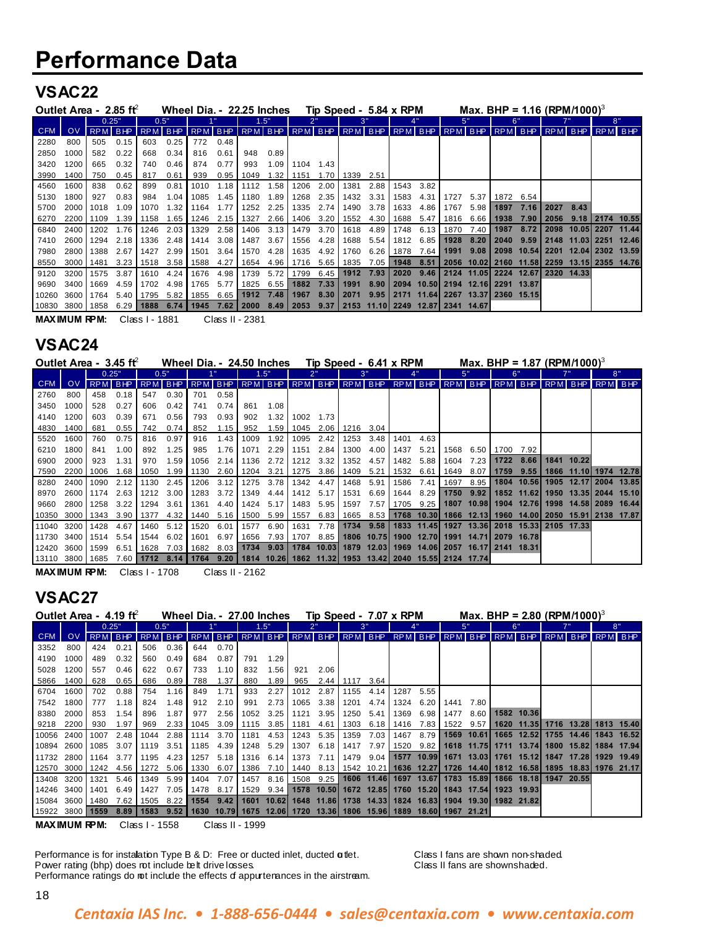#### **VSAC22**

| Outlet Area - $2.85$ ft |      |                |      |         |      | Wheel Dia. - 22.25 Inches |          |                  |             |                                                                       |      |      |      | Tip Speed - 5.84 x RPM           |           |      | Max. BHP = 1.16 (RPM/1000) <sup>3</sup> |           |       |                 |            |                       |         |
|-------------------------|------|----------------|------|---------|------|---------------------------|----------|------------------|-------------|-----------------------------------------------------------------------|------|------|------|----------------------------------|-----------|------|-----------------------------------------|-----------|-------|-----------------|------------|-----------------------|---------|
|                         |      | 0.25"          |      | 0.5"    |      |                           |          |                  | .5"         | つ‼                                                                    |      |      | 3"   |                                  |           |      | 5"                                      |           | 6"    |                 |            | 8"                    |         |
| <b>CFM</b>              | OV.  | <b>RPM BHP</b> |      | RPM BHP |      |                           |          |                  |             | RPM   BHP   RPM   BHP   RPM   BHP   RPM   BHP   RPM   BHP   RPM   BHP |      |      |      |                                  |           |      |                                         |           |       | RPM BHP RPM BHP |            |                       | RPM BHP |
| 2280                    | 800  | 505            | 0.15 | 603     | 0.25 | 772                       | 0.48     |                  |             |                                                                       |      |      |      |                                  |           |      |                                         |           |       |                 |            |                       |         |
| 2850                    | 1000 | 582            | 0.22 | 668     | 0.34 | 816                       | 0.61     | 948              | 0.89        |                                                                       |      |      |      |                                  |           |      |                                         |           |       |                 |            |                       |         |
| 3420                    | 1200 | 665            | 0.32 | 740     | 0.46 | 874                       | 0.77     | 993              | 1.09        | 1104                                                                  | 1.43 |      |      |                                  |           |      |                                         |           |       |                 |            |                       |         |
| 3990                    | 1400 | 750            | 0.45 | 817     | 0.61 | 939                       |          | $0.95$ 1049      |             | 1.32   1151                                                           | 1.70 | 1339 | 2.51 |                                  |           |      |                                         |           |       |                 |            |                       |         |
| 4560                    | 1600 | 838            | 0.62 | 899     | 0.81 | 1010                      |          | $1.18$ 1112 1.58 |             | 1206                                                                  | 2.00 | 1381 | 2.88 | 1543                             | 3.82      |      |                                         |           |       |                 |            |                       |         |
| 5130                    | 1800 | 927            | 0.83 | 984     | 1.04 | 1085                      | 1.45     | 1180             | 1.89        | 1268                                                                  | 2.35 | 1432 | 3.31 | 1583                             | 4.31      | 1727 | 5.37                                    | 1872 6.54 |       |                 |            |                       |         |
| 5700                    | 2000 | 1018           | 1.09 | 1070    | 1.32 | 1164                      | 1.77     | 1252             | 2.25        | 1335                                                                  | 2.74 | 1490 | 3.78 | 1633                             | 4.86      | 1767 | $5.98$ $\blacksquare$                   | 1897      | 7.16  | 2027 8.43       |            |                       |         |
| 6270                    | 2200 | 1109           | 1.39 | 1158    | 1.65 | 1246                      | $2.15$ I | 1327             | 2.66        | 1406                                                                  | 3.20 | 1552 | 4.30 | 1688                             | 5.47      | 1816 | 6.66                                    | 1938      | 7.90  | 2056            | 9.18       | 2174 10.55            |         |
| 6840                    | 2400 | 1202           | 1.76 | 1246    | 2.03 | 1329                      | 2.58     |                  | 1406 3.13   | 1479                                                                  | 3.70 | 1618 | 4.89 | 1748                             | 6.13      | 1870 | 7.40                                    | 1987      | 8.72  |                 |            | 2098 10.05 2207 11.44 |         |
| 7410                    | 2600 | 1294           | 2.18 | 1336    | 2.48 | 1414                      | 3.08     | 1487             | 3.67        | 1556                                                                  | 4.28 | 1688 | 5.54 | 1812                             | 6.85      | 1928 | 8.20                                    | 2040      | 9.59  | 2148            |            | 11.031 2251           | 12.46   |
| 7980                    | 2800 | 1388           | 2.67 | 1427    | 2.99 | 1501                      | 3.64     | 1570             | 4.28        | 1635                                                                  | 4.92 | 1760 | 6.26 | 1878                             | 7.64      | 1991 | 9.08                                    | 2098      | 10.54 | 2201            |            | 12.04 2302 13.59      |         |
| 8550                    | 3000 | 1481           | 3.23 | 1518    | 3.58 | 1588                      | 4.27     | 1654             | 4.96        | 1716                                                                  | 5.65 | 1835 | 7.05 |                                  | 1948 8.51 | 2056 | 10.02 2160                              |           | 11.58 |                 |            | 2259 13.15 2355 14.76 |         |
| 9120                    | 3200 | 1575           | 3.87 | 1610    | 4.24 | 1676                      | 4.98     | 1739             | 5.72        | 1799                                                                  | 6.45 | 1912 | 7.93 | 2020                             | $9.46$    |      | 2124 11.05 2224 12.67                   |           |       |                 | 2320 14.33 |                       |         |
| 9690                    | 3400 | 1669           | 4.59 | 1702    | 4.98 | 1765                      | 5.77     | 1825             | $6.55$ I    | 1882                                                                  | 7.33 | 1991 | 8.90 |                                  |           |      | 2094 10.50 2194 12.16 2291              |           | 13.87 |                 |            |                       |         |
| 10260                   | 3600 | 1764           | 5.40 | 1795    |      | 5.82 1855                 | 6.65     |                  | 1912 7.48   | 1967                                                                  | 8.30 | 2071 | 9.95 |                                  |           |      | 2171 11.64 2267 13.37 2360 15.15        |           |       |                 |            |                       |         |
| 10830 3800              |      | 1858           | 6.29 | 1888    | 6.74 | 1945                      | 7.62     |                  | $2000$ 8.49 | 2053                                                                  | 9.37 |      |      | 2153 11.10 2249 12.87 2341 14.67 |           |      |                                         |           |       |                 |            |                       |         |

**MAXIMUM RPM:** Class I - 1881 Class II - 2381

#### **VSAC24**

| Outlet Area - $3.45$ ft                                                                                 |           |                |      |           |                       | Wheel Dia. - 24.50 Inches |                |                     |           |           |           |      |        | Tip Speed - 6.41 x RPM                                                     |      |           |                     |      |             | Max, BHP = 1.87 (RPM/1000) <sup>3</sup>                             |                       |         |
|---------------------------------------------------------------------------------------------------------|-----------|----------------|------|-----------|-----------------------|---------------------------|----------------|---------------------|-----------|-----------|-----------|------|--------|----------------------------------------------------------------------------|------|-----------|---------------------|------|-------------|---------------------------------------------------------------------|-----------------------|---------|
|                                                                                                         |           | 0.25"          |      | 0.5"      |                       |                           |                |                     | 1.5"      |           |           |      | 3"     |                                                                            |      |           | 5"                  |      | 6"          |                                                                     | 8"                    |         |
| CFM                                                                                                     | <b>OV</b> | <b>RPM BHP</b> |      |           | RPM BHP               |                           |                |                     |           |           |           |      |        |                                                                            |      |           |                     |      |             | RPM BHP RPM BHP RPM BHP RPM BHP RPM BHP RPM BHP RPM BHP RPM BHP BHP |                       | RPM BHP |
| 2760                                                                                                    | 800       | 458            | 0.18 | 547       | $0.30$ $\blacksquare$ | 701                       | 0.58           |                     |           |           |           |      |        |                                                                            |      |           |                     |      |             |                                                                     |                       |         |
| 3450                                                                                                    | 1000      | 528            | 0.27 | 606       | 0.42                  | 741                       | 0.74           | 861                 | 1.08      |           |           |      |        |                                                                            |      |           |                     |      |             |                                                                     |                       |         |
| 4140                                                                                                    | 1200      | 603            | 0.39 | 671       | 0.56                  | 793                       | 0.93           | 902                 | 1.32      | 1002      | 1.73      |      |        |                                                                            |      |           |                     |      |             |                                                                     |                       |         |
| 4830                                                                                                    | 1400      | 681            | 0.55 | 742       | 0.74                  | 852                       | 1.15           | 952                 | 1.59      | 1045      | 2.06      | 1216 | - 3.04 |                                                                            |      |           |                     |      |             |                                                                     |                       |         |
| 5520                                                                                                    | 1600      | 760            | 0.75 | 816       | 0.97                  | 916                       | $1.43 \square$ | 1009                | 1.92      | 1095      | 2.42      | 1253 | 3.48   | 1401                                                                       | 4.63 |           |                     |      |             |                                                                     |                       |         |
| 6210                                                                                                    | 1800      | 841            | 1.00 | 892       | 1.25                  | 985                       | 1.76           | 1071                | 2.29      | 1151      | 2.84      | 1300 | 4.00   | 1437                                                                       | 5.21 |           | 1568 6.50 1700 7.92 |      |             |                                                                     |                       |         |
| 6900                                                                                                    | 2000      | 923            | 1.31 | 970       | 1.59                  | 1056                      |                | $2.14$ 1136         | 2.72      | 1212      | 3.32      | 1352 | 4.57   | 1482 5.88                                                                  |      | 1604 7.23 |                     |      | $1722$ 8.66 | 1841 10.22                                                          |                       |         |
| 7590                                                                                                    | 2200 l    | 1006           | 1.68 | 1050      |                       | 1.99 1130                 | 2.60           |                     | 1204 3.21 |           | 1275 3.86 | 1409 | 5.21   | 1532 6.61                                                                  |      | 1649      | 8.07                | 1759 | 9.55        |                                                                     | 1866 11.10 1974 12.78 |         |
| 8280                                                                                                    | 2400      | 1090           | 2.12 | 1130      | 2.45                  |                           | $1206$ 3.12    |                     | 1275 3.78 |           | 1342 4.47 | 1468 | 5.91   | 1586                                                                       | 7.41 | 1697      | 8.95 L              |      |             | 1804 10.56 1905 12.17 2004 13.85                                    |                       |         |
| 8970                                                                                                    | 2600 l    | 1174           | 2.63 |           | 1212 3.00             |                           | 1283 3.72      |                     | 1349 4.44 |           | 1412 5.17 | 1531 | 6.69   | 1644 8.29                                                                  |      |           | 1750 9.92           |      | 1852 11.62  |                                                                     | 1950 13.35 2044 15.10 |         |
| 9660                                                                                                    | 2800      | 1258 3.22      |      | 1294 3.61 |                       | 1361                      | 4.40           |                     | 1424 5.17 | 1483      | 5.95      | 1597 | 7.57   |                                                                            |      |           |                     |      |             | 1705 9.25 1807 10.98 1904 12.76 1998 14.58 2089 16.44               |                       |         |
| 10350 3000                                                                                              |           | 1343 3.90      |      |           | 1377 4.32             |                           |                | 1440 5.16 1500 5.99 |           | 1557      | 6.83      | 1665 |        |                                                                            |      |           |                     |      |             | 8.53 1768 10.30 1866 12.13 1960 14.00 2050 15.91 2138 17.87         |                       |         |
| 11040 3200                                                                                              |           | 1428           | 4.67 | 1460      | $5.12$                |                           | $1520$ 6.01    | 1577                | 6.90      | 1631      | 7.78      |      |        |                                                                            |      |           |                     |      |             | 1734 9.58   1833 11.45   1927 13.36   2018 15.33   2105 17.33       |                       |         |
| 11730 3400                                                                                              |           | 1514 5.54      |      | 1544      | 6.02                  | 1601                      | 6.97 I         | 1656                |           | 7.93 1707 | 8.85      |      |        | 1806 10.75 1900 12.70 1991 14.71 2079 16.78                                |      |           |                     |      |             |                                                                     |                       |         |
| 12420 3600                                                                                              |           | 1599           | 6.51 | 1628      |                       | 7.03 1682 8.03            |                |                     |           |           |           |      |        | 1734 9.03   1784 10.03   1879 12.03   1969 14.06   2057 16.17   2141 18.31 |      |           |                     |      |             |                                                                     |                       |         |
| 13110 3800  1685 7.60  1712 8.14  1764 9.20  1814 10.26  1862 11.32  1953 13.42  2040 15.55  2124 17.74 |           |                |      |           |                       |                           |                |                     |           |           |           |      |        |                                                                            |      |           |                     |      |             |                                                                     |                       |         |

**MAXIMUM RPM:** Class I - 1708 Class II - 2162

### **VSAC27**

| Outlet Area - $4.19$ ft                                                                                 |      |       |         |                  |                   |           |           | Wheel Dia. - 27.00 Inches |           |      | Tip Speed - 7.07 x RPM                                           |      |           |      |           |           |            | Max, BHP = 2.80 (RPM/1000) <sup>3</sup>                                          |                       |    |            |
|---------------------------------------------------------------------------------------------------------|------|-------|---------|------------------|-------------------|-----------|-----------|---------------------------|-----------|------|------------------------------------------------------------------|------|-----------|------|-----------|-----------|------------|----------------------------------------------------------------------------------|-----------------------|----|------------|
|                                                                                                         |      | 0.25" |         | 0.5"             |                   |           |           |                           | 1.5"      |      |                                                                  |      | 3"        |      |           |           | 5"         | 6'                                                                               |                       | 8" |            |
| <b>CFM</b>                                                                                              | OV.  |       | RPM BHP |                  | RPM BHP           |           |           |                           |           |      | RPM BHP RPM BHP RPM BHP RPM BHP                                  |      |           |      |           |           |            | RPM BHP RPM BHP RPM BHP RPM BHP                                                  |                       |    | RPM BHP    |
| 3352                                                                                                    | 800  | 424   | 0.21    | 506              | 0.36              | 644       | 0.70      |                           |           |      |                                                                  |      |           |      |           |           |            |                                                                                  |                       |    |            |
| 4190                                                                                                    | 1000 | 489   | 0.32    | 560              | 0.49              | 684       | 0.87      | 791                       | 1.29      |      |                                                                  |      |           |      |           |           |            |                                                                                  |                       |    |            |
| 5028                                                                                                    | 1200 | 557   | 0.46    | 622              | 0.67              | 733       | $1.10$ l  | 832                       | 1.56      | 921  | 2.06                                                             |      |           |      |           |           |            |                                                                                  |                       |    |            |
| 5866                                                                                                    | 1400 | 628   | 0.65    | 686              | 0.89              | 788       | 1.37      | 880                       | 1.89      | 965  | 2.44                                                             | 1117 | 3.64      |      |           |           |            |                                                                                  |                       |    |            |
| 6704                                                                                                    | 1600 | 702   | 0.88    | 754              | 1.16              | 849       | 1.71      | 933                       | 2.27      | 1012 | 2.87                                                             | 1155 | 4.14      | 1287 | 5.55      |           |            |                                                                                  |                       |    |            |
| 7542                                                                                                    | 1800 | 777   | 1.18    | 824              | 1.48              | 912       | 2.10      | 991                       | 2.73      | 1065 | 3.38                                                             | 1201 | 4.74      | 1324 | 6.20      | 1441      | 7.80       |                                                                                  |                       |    |            |
| 8380                                                                                                    | 2000 | 853   | 1.54    | 896              | 1.87              | 977       | 2.56      | 1052                      | 3.25      | 1121 | 3.95                                                             | 1250 | 5.41      | 1369 | 6.98      | 1477      |            | 8.60   1582 10.36                                                                |                       |    |            |
| 9218                                                                                                    | 2200 | 930   | 1.97    | 969              |                   | 2.33 1045 |           | $3.09$ 1115 3.85          |           | 1181 | 4.61                                                             | 1303 | 6.18      |      | 1416 7.83 | 1522 9.57 |            | 1620 11.35  1716 13.28  1813 15.40                                               |                       |    |            |
| 10056 2400                                                                                              |      | 1007  | 2.48    | 1044             | 2.88              | 1114      |           | 3.70 ∎ 1181               | 4.53      | 1243 | 5.35                                                             | 1359 | 7.03      | 1467 | 8.79      |           | 1569 10.61 | 1665 12.52                                                                       | 1755 14.46 1843 16.52 |    |            |
| 10894 2600                                                                                              |      | 1085  | 3.07    | 1119             | 3.51              | 1185      | 4.39      |                           | 1248 5.29 | 1307 | 6.18                                                             | 1417 | 7.97      |      | 1520 9.82 |           |            | 1618 11.75 1711 13.74                                                            | 1800 15.821           |    | 1884 17.94 |
| 11732 2800                                                                                              |      | 1164  | 3.77    | 1195             | 4.23              | 1257      | 5.18      |                           | 1316 6.14 | 1373 | 7.11                                                             |      | 1479 9.04 |      |           |           |            | 1577 10.99 1671 13.03 1761 15.12                                                 | 1847 17.28            |    | 1929 19.49 |
| 12570 3000                                                                                              |      | 1242  | 4.56    | $1272$ 5.06 1330 |                   |           | 6.07      | 1386                      |           |      | 7.10   1440 8.13                                                 |      |           |      |           |           |            | 1542 10.21   1636 12.27   1726 14.40   1812 16.58   1895 18.83   1976 21.17      |                       |    |            |
| 13408 3200                                                                                              |      | 1321  | 5.46    | 1349             | 5.99 <sub>1</sub> | 1404      | $7.07$ I  | 1457                      | 8.16      |      | 1508 9.25                                                        |      |           |      |           |           |            | 1606 11.46 1697 13.67 1783 15.89 1866 18.18                                      | 1947 20.55            |    |            |
| 14246 3400                                                                                              |      | 1401  | 6.49    | 1427             | 7.05              |           | 1478 8.17 |                           |           |      | 1529 9.34 1578 10.50 1672 12.85 1760 15.20 1843 17.54 1923 19.93 |      |           |      |           |           |            |                                                                                  |                       |    |            |
| 15084 3600                                                                                              |      | 1480  | 7.62    | 1505             |                   |           |           |                           |           |      |                                                                  |      |           |      |           |           |            | 8.22 1554 9.42 1601 10.62 1648 11.86 1738 14.33 1824 16.83 1904 19.30 1982 21.82 |                       |    |            |
| 15922 3800 <b>1559 8.89 1583 9.52 1630 10.79 1675 12.06 1720 13.36 1806 15.96 1889 18.60 1967 21.21</b> |      |       |         |                  |                   |           |           |                           |           |      |                                                                  |      |           |      |           |           |            |                                                                                  |                       |    |            |

**MAXIMUM RPM:** Class I - 1558 Class II - 1999

Performance is for installation Type B & D: Free or ducted inlet, ducted **a**tlet. Class I fans are shown non-shaded.<br>Power rating (bhp) does rot include belt drive losses. Class II fans are shownshaded. Power rating (bhp) does rot include belt drive losses. Performance ratings do not include the effects of appurtenances in the airstream.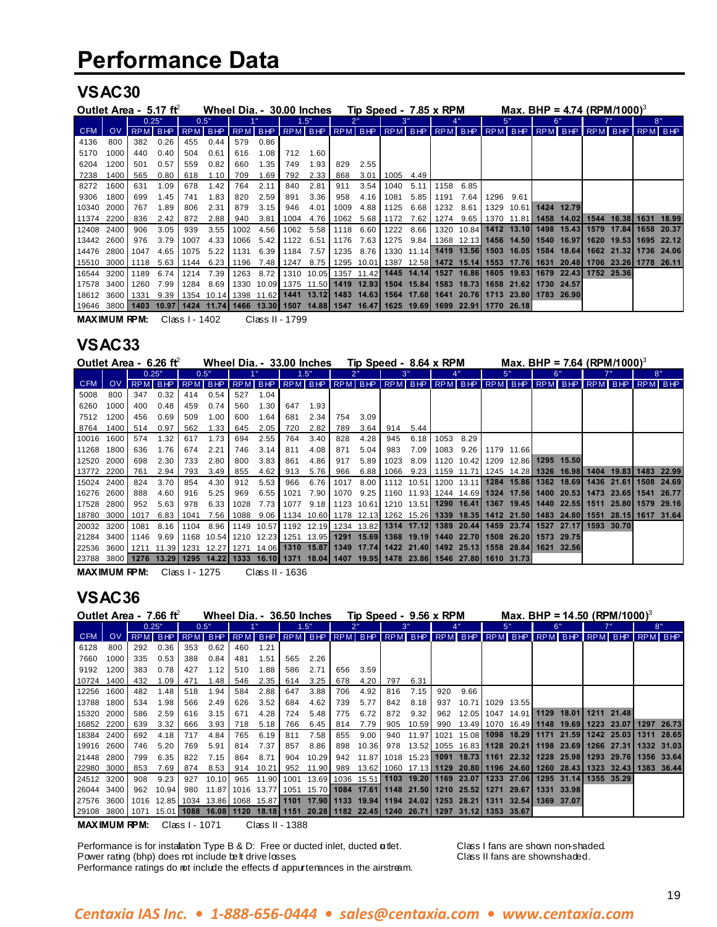### **VSAC30**

| Outlet Area - 5.17 ft                                                                                              |      |         |      |      | Wheel Dia. - 30.00 Inches                                                               |           |      |      |                |      | Tip Speed - 7.85 x RPM           |             |        |      |                                             |           |                       | Max. BHP = 4.74 (RPM/1000) <sup>3</sup>                                      |      |                        |                       |
|--------------------------------------------------------------------------------------------------------------------|------|---------|------|------|-----------------------------------------------------------------------------------------|-----------|------|------|----------------|------|----------------------------------|-------------|--------|------|---------------------------------------------|-----------|-----------------------|------------------------------------------------------------------------------|------|------------------------|-----------------------|
|                                                                                                                    |      | 0.25"   |      |      | 0.5"                                                                                    |           |      |      | 1.5"           |      |                                  |             |        |      |                                             |           | 5"                    | 6'                                                                           |      |                        | 8"                    |
| <b>CFM</b>                                                                                                         | OV.  | RPM BHP |      |      | RPM BHP RPM BHP RPM BHP                                                                 |           |      |      |                |      |                                  |             |        |      |                                             |           |                       | RPM BHP RPM BHP RPM BHP RPM BHP RPM BHP RPM BHP RPM BHP RPM BHP              |      |                        |                       |
| 4136                                                                                                               | 800  | 382     | 0.26 | 455  | 0.44                                                                                    | 579       | 0.86 |      |                |      |                                  |             |        |      |                                             |           |                       |                                                                              |      |                        |                       |
| 5170                                                                                                               | 1000 | 440     | 0.40 | 504  | 0.61                                                                                    | 616       | 1.08 | 712  | 1.60           |      |                                  |             |        |      |                                             |           |                       |                                                                              |      |                        |                       |
| 6204                                                                                                               | 1200 | 501     | 0.57 | 559  | 0.82                                                                                    | 660       | 1.35 | 749  | 1.93           | 829  | 2.55                             |             |        |      |                                             |           |                       |                                                                              |      |                        |                       |
| 7238                                                                                                               | 1400 | 565     | 0.80 | 618  | 1.10                                                                                    | 709       | 1.69 | 792  | 2.33           | 868  |                                  | $3.01$ 1005 | 4.49   |      |                                             |           |                       |                                                                              |      |                        |                       |
| 8272                                                                                                               | 1600 | 631     | 1.09 | 678  | 1.42                                                                                    | 764       | 2.11 | 840  | 2.81           | 911  | 3.54                             | 1040        | 5.11   | 1158 | 6.85                                        |           |                       |                                                                              |      |                        |                       |
| 9306                                                                                                               | 1800 | 699     | 1.45 | 741  | 1.83                                                                                    | 820       | 2.59 | 891  | 3.36           | 958  | 4.16                             | 1081        | 5.85   | 1191 | 7.64                                        | 1296 9.61 |                       |                                                                              |      |                        |                       |
| 10340 2000                                                                                                         |      | 767     | 1.89 | 806  | 2.31                                                                                    | 879       | 3.15 | 946  | 4.01           | 1009 | 4.88                             | 1125        | 6.68   | 1232 | 8.61                                        |           | 1329 10.61 1424 12.79 |                                                                              |      |                        |                       |
| 11374 2200                                                                                                         |      | 836     | 2.42 | 872  | 2.88                                                                                    | 940       | 3.81 | 1004 | 4.76           | 1062 | 5.68                             | 1172        | 7.62   | 1274 |                                             |           |                       | 9.65   1370 11.81   1458 14.02                                               | 1544 | 16.381 1631 18.99      |                       |
| 12408 2400                                                                                                         |      | 906     | 3.05 | 939  | 3.55                                                                                    | 1002      | 4.56 |      | 1062 5.58      | 1118 | 6.60                             | 1222        | 8.66 I |      |                                             |           |                       | 1320 10.84 1412 13.10 1498 15.43                                             |      | 1579 17.841 1658 20.37 |                       |
| 13442 2600                                                                                                         |      | 976     | 3.79 | 1007 | 4.33                                                                                    | 1066      | 5.42 |      | 1122 6.51      | 1176 | 7.63                             |             |        |      |                                             |           |                       | 1275 9.84 1368 12.13 1456 14.50 1540 16.97                                   | 1620 |                        | 19.531 1695 22.12     |
| 14476 2800                                                                                                         |      | 1047    | 4.65 | 1075 | 5.22                                                                                    | 1131      |      |      | 6.39 1184 7.57 | 1235 | 8.76 I                           |             |        |      |                                             |           |                       | 1330 11.14 1419 13.56 1503 16.05 1584 18.64                                  |      |                        | 1662 21.32 1736 24.06 |
| 15510 3000                                                                                                         |      | 1118    | 5.63 | 1144 |                                                                                         | 6.23 1196 |      |      | 7.48 1247 8.75 |      |                                  |             |        |      |                                             |           |                       | 1295 10.01 1387 12.58 1472 15.14 1553 17.76 1631 20.48 1706 23.26 1778 26.11 |      |                        |                       |
| 16544 3200                                                                                                         |      | 1189    | 6.74 | 1214 | 7.39                                                                                    | 1263      | 8.72 |      |                |      |                                  |             |        |      |                                             |           |                       | 1310 10.05 1357 11.42 1445 14.14 1527 16.86 1605 19.63 1679 22.43 1752 25.36 |      |                        |                       |
| 17578 3400                                                                                                         |      | 1260    | 7.99 | 1284 | 8.69                                                                                    |           |      |      |                |      | 1330 10.09 1375 11.50 1419 12.93 |             |        |      | 1504 15.84 1583 18.73 1658 21.62 1730 24.57 |           |                       |                                                                              |      |                        |                       |
| 18612 3600                                                                                                         |      | 1331    | 9.39 |      | 1354 10.14 1398 11.62 1441 13.12 1483 14.63 1564 17.68 1641 20.76 1713 23.80 1783 26.90 |           |      |      |                |      |                                  |             |        |      |                                             |           |                       |                                                                              |      |                        |                       |
| 19646 3800   1403 10.97   1424 11.74   1466 13.30   1507 14.88   1547 16.47   1625 19.69   1699 22.91   1770 26.18 |      |         |      |      |                                                                                         |           |      |      |                |      |                                  |             |        |      |                                             |           |                       |                                                                              |      |                        |                       |

**MAXIMUM RPM:** Class I - 1402 Class II - 1799

### **VSAC33**

| Outlet Area - $6.26$ ft                                                                                                         |      |           |       |           | Wheel Dia. - 33.00 Inches |      |      |      |      |      | Tip Speed - 8.64 x RPM |      |           |      |      |            | Max, BHP = 7.64 (RPM/1000) <sup>3</sup>                                                                                  |                         |         |                                                                                                                                                     |
|---------------------------------------------------------------------------------------------------------------------------------|------|-----------|-------|-----------|---------------------------|------|------|------|------|------|------------------------|------|-----------|------|------|------------|--------------------------------------------------------------------------------------------------------------------------|-------------------------|---------|-----------------------------------------------------------------------------------------------------------------------------------------------------|
|                                                                                                                                 |      |           | 0.25" |           | 0.5"                      |      |      |      | 1.5" |      |                        |      | 3"        |      |      | 5"         | 6'                                                                                                                       |                         |         | 8"                                                                                                                                                  |
| <b>CFM</b>                                                                                                                      | OV.  |           |       |           | RPM BHP RPM BHP           |      |      |      |      |      |                        |      |           |      |      |            | RPM BHP RPM BHP RPM BHP RPM BHP RPM BHP RPM BHP RPM BHP RPM BHP RPM BHP                                                  |                         | RPM BHP |                                                                                                                                                     |
| 5008                                                                                                                            | 800  | 347       | 0.32  | 414       | 0.54                      | 527  | 1.04 |      |      |      |                        |      |           |      |      |            |                                                                                                                          |                         |         |                                                                                                                                                     |
| 6260                                                                                                                            | 1000 | 400       | 0.48  | 459       | 0.74                      | 560  | 1.30 | 647  | 1.93 |      |                        |      |           |      |      |            |                                                                                                                          |                         |         |                                                                                                                                                     |
| 7512                                                                                                                            | 1200 | 456       | 0.69  | 509       | 1.00                      | 600  | 1.64 | 681  | 2.34 | 754  | 3.09                   |      |           |      |      |            |                                                                                                                          |                         |         |                                                                                                                                                     |
| 8764                                                                                                                            | 1400 | 514       | 0.97  | 562       | 1.33                      | 645  | 2.05 | 720  | 2.82 | 789  | 3.64                   | 914  | 5.44      |      |      |            |                                                                                                                          |                         |         |                                                                                                                                                     |
| 10016 1600                                                                                                                      |      | 574       | 1.32  | 617       | 1.73                      | 694  | 2.55 | 764  | 3.40 | 828  | 4.28                   | 945  | 6.18      | 1053 | 8.29 |            |                                                                                                                          |                         |         |                                                                                                                                                     |
| 11268 1800                                                                                                                      |      | 636       | 1.76  | 674       | 2.21                      | 746  | 3.14 | 811  | 4.08 | 871  | 5.04                   | 983  | 7.09      | 1083 | 9.26 | 1179 11.66 |                                                                                                                          |                         |         |                                                                                                                                                     |
| 12520 2000                                                                                                                      |      | 698       | 2.30  | 733       | 2.80                      | 800  | 3.83 | 861  | 4.86 | 917  | 5.89                   | 1023 | 8.09      |      |      |            | 1120 10.42 1209 12.86 1295 15.50                                                                                         |                         |         |                                                                                                                                                     |
| 13772 2200                                                                                                                      |      | 761       | 2.94  | 793       | 3.49                      | 855  | 4.62 | 913  | 5.76 | 966  | 6.88                   |      | 1066 9.23 |      |      |            | 1159 11.71 1245 14.28 1326 16.98   1404 19.83   1483 22.99                                                               |                         |         |                                                                                                                                                     |
| 15024 2400                                                                                                                      |      | 824       | 3.70  | 854       | 4.30                      | 912  | 5.53 | 966  | 6.76 | 1017 | 8.00                   |      |           |      |      |            | 1112 10.51 1200 13.11 1284 15.86 1362 18.69                                                                              | 1436 21.61   1508 24.69 |         |                                                                                                                                                     |
| 16276 2600                                                                                                                      |      | 888       | 4.60  | 916       | 5.25                      | 969  | 6.55 | 1021 |      |      | 7.90   1070 9.25       |      |           |      |      |            | 1160   11.93  1244   14.69  <b>1324   17.56  1400   20.53  1473   23.65  1541   26.77</b>                                |                         |         |                                                                                                                                                     |
| 17528 2800                                                                                                                      |      | 952       | 5.63  | 978       | 6.33                      | 1028 | 7.73 | 1077 |      |      |                        |      |           |      |      |            | 9.18   1123 10.61   1210 13.51   1290 16.41   1367 19.45   1440 22.55   1511 25.80   1579 29.16                          |                         |         |                                                                                                                                                     |
| 18780 3000                                                                                                                      |      | 1017      |       | 6.83 1041 |                           |      |      |      |      |      |                        |      |           |      |      |            |                                                                                                                          |                         |         | 7.56   1088   9.06   1134   10.60   1178   12.13   1262   15.26   <b>1339   18.35   1412   21.50   1483   24.80   1551   28.15   1617   31.64  </b> |
| 20032 3200                                                                                                                      |      | 1081      |       |           |                           |      |      |      |      |      |                        |      |           |      |      |            | 8.16   1104 8.96   1149 10.57   1192 12.19   1234 13.82   1314 17.12   1389 20.44   1459 23.74   1527 27.17   1593 30.70 |                         |         |                                                                                                                                                     |
| 21284 3400                                                                                                                      |      | 1146 9.69 |       |           |                           |      |      |      |      |      |                        |      |           |      |      |            | l 1168  10.54l 1210  12.23l 1251  13.95l <b>1291  15.69l 1368  19.19l 1440  22.70l 1508  26.20l 1573  29.75</b> l        |                         |         |                                                                                                                                                     |
| 22536 3600   1211 11.39   1231 12.27   1271 14.06   1310 15.87   1349 17.74   1422 21.40   1492 25.13   1558 28.84   1621 32.56 |      |           |       |           |                           |      |      |      |      |      |                        |      |           |      |      |            |                                                                                                                          |                         |         |                                                                                                                                                     |
| 23788 3800   1276 13.29   1295 14.22   1333 16.10   1371 18.04   1407 19.95   1478 23.86   1546 27.80   1610 31.73              |      |           |       |           |                           |      |      |      |      |      |                        |      |           |      |      |            |                                                                                                                          |                         |         |                                                                                                                                                     |

**MAXIMUM RPM:** Class I - 1275 Class II - 1636

### **VSAC36**

| Outlet Area - 7.66 ft |      |      |         |     | Wheel Dia. - 36.50 Inches |     |       |     |           |     | Tip Speed - 9.56 x RPM |     |            |     |                                                                                                 | Max. BHP = 14.50 (RPM/1000) <sup>3</sup> |            |            |            |
|-----------------------|------|------|---------|-----|---------------------------|-----|-------|-----|-----------|-----|------------------------|-----|------------|-----|-------------------------------------------------------------------------------------------------|------------------------------------------|------------|------------|------------|
|                       |      |      | 0.25"   |     | 0.5"                      |     |       |     | 1.5"      |     |                        |     |            |     |                                                                                                 | 5"                                       | 6"         |            | 8"         |
| <b>CFM</b>            | OV.  |      | RPM BHP |     | RPM BHP                   |     |       |     |           |     |                        |     |            |     | RPM BHP RPM BHP RPM BHP RPM BHP RPM BHP RPM BHP RPM BHP RPM BHP RPM BHP RPM BHP                 |                                          |            |            |            |
| 6128                  | 800  | 292  | 0.36    | 353 | 0.62                      | 460 | 1.21  |     |           |     |                        |     |            |     |                                                                                                 |                                          |            |            |            |
| 7660                  | 1000 | 335  | 0.53    | 388 | 0.84                      | 481 | 1.51  | 565 | 2.26      |     |                        |     |            |     |                                                                                                 |                                          |            |            |            |
| 9192                  | 1200 | 383  | 0.78    | 427 | 1.12                      | 510 | 1.88  | 586 | 2.71      | 656 | 3.59                   |     |            |     |                                                                                                 |                                          |            |            |            |
| 10724 1400            |      | 432  | 1.09    | 471 | 1.48                      | 546 | 2.35  | 614 | 3.25      | 678 | 4.20                   | 797 | 6.31       |     |                                                                                                 |                                          |            |            |            |
| 12256 1600            |      | 482  | 1.48    | 518 | 1.94                      | 584 | 2.88  | 647 | 3.88      | 706 | 4.92                   | 816 | 7.15       | 920 | 9.66                                                                                            |                                          |            |            |            |
| 13788                 | 1800 | 534  | 1.98    | 566 | 2.49                      | 626 | 3.52  | 684 | 4.62      | 739 | 5.77                   | 842 | 8.18       | 937 |                                                                                                 | 10.71   1029 13.55                       |            |            |            |
| 15320 2000            |      | 586  | 2.59    | 616 | 3.15                      | 671 | 4.28  | 724 | 5.48      | 775 | 6.72                   | 872 | 9.32       | 962 |                                                                                                 | 12.05   1047   14.91   1129   18.01      |            | 1211 21.48 |            |
| 16852 2200            |      | 639  | 3.32    | 666 | 3.93                      | 718 | 5.18  | 766 | 6.45      | 814 | 7.79                   | 905 | 10.59      | 990 |                                                                                                 | 13.49   1070 16.49   1148 19.69          |            | 1223 23.07 | 1297 26.73 |
| 18384 2400            |      | 692  | 4.18    | 717 | 4.84                      | 765 | 6.19  | 811 | 7.58      | 855 | 9.00                   | 940 | 11.97 1021 |     |                                                                                                 | 15.08 1098 18.29 1171 21.59              |            | 1242 25.03 | 1311 28.65 |
| 19916 2600            |      | 746  | 5.20    | 769 | 5.91                      | 814 | 7.37  | 857 | 8.86      | 898 | 10.36                  |     |            |     | 978 13.52 1055 16.83 1128 20.21 1198 23.69                                                      |                                          |            | 1266 27.31 | 1332 31.03 |
| 21448 2800            |      | 799  | 6.35    | 822 | 7.15                      | 864 | 8.71  | 904 | 10.29     | 942 |                        |     |            |     | 11.87   1018   15.23   1091   18.73   1161   22.32   1228   25.98                               |                                          |            | 1293 29.76 | 1356 33.64 |
| 22980 3000            |      | 853  | 7.69    | 874 | 8.53                      | 914 | 10.21 |     | 952 11.90 |     |                        |     |            |     | 989 13.62 1060 17.13 1129 20.80 1196 24.60 1260 28.43                                           |                                          |            | 1323 32.43 | 1383 36.44 |
| 24512 3200            |      | 908  | 9.23    | 927 | 10.10                     | 965 | 11.90 |     |           |     |                        |     |            |     | 1001 13.69 1036 15.51 1103 19.20 1169 23.07 1233 27.06 1295 31.14                               |                                          |            | 1355 35.29 |            |
| 26044 3400            |      | 962  | 10.94   | 980 |                           |     |       |     |           |     |                        |     |            |     | 11.87   1016   13.77   1051   15.70   1084   17.61   1148   21.50   1210   25.52   1271   29.67 |                                          | 1331 33.98 |            |            |
| 27576 3600            |      | 1016 | 12.85   |     |                           |     |       |     |           |     |                        |     |            |     | 1034 13.86 1068 15.87 1101 17.90 1133 19.94 1194 24.02 1253 28.21 1311 32.54 1369 37.07         |                                          |            |            |            |
| 29108 3800            |      |      |         |     |                           |     |       |     |           |     |                        |     |            |     | 1071 15.01 <b>1088 16.08 1120 18.18 1151 20.28 1182 22.45 1240 26.71 1297 31.12 1353 35.67</b>  |                                          |            |            |            |

**MAXIMUM RPM:** Class I - 1071 Class II - 1388

Performance is for installation Type B & D: Free or ducted inlet, ducted **a**tlet. Class I fans are shown non-shaded.<br>Power rating (bhp) does rot include belt drive losses. Class II fans are shownshaded. Power rating (bhp) does not include belt drive losses.

Performance ratings do not include the effects of appurtenances in the airstream.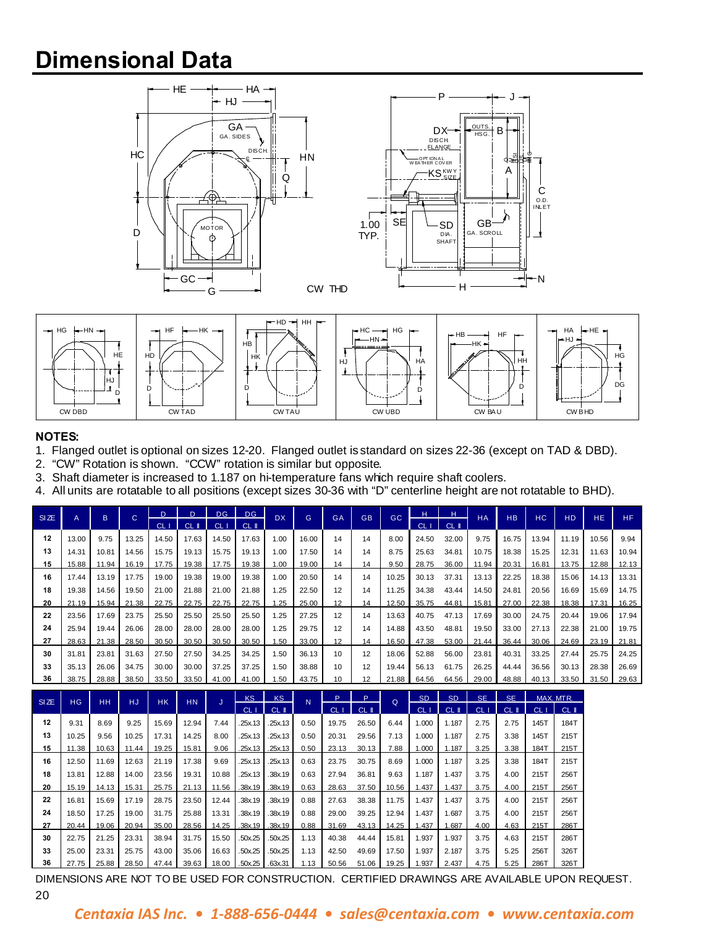## **Dimensional Data**





#### **NOTES:**

- 1. Flanged outlet is optional on sizes 12-20. Flanged outlet is standard on sizes 22-36 (except on TAD & DBD).
- 2. "CW" Rotation is shown. "CCW" rotation is similar but opposite.
- 3. Shaft diameter is increased to 1.187 on hi-temperature fans which require shaft coolers.
- 4. All units are rotatable to all positions (except sizes 30-36 with "D" centerline height are not rotatable to BHD).

| SIZE | A     | B     | $\mathbf C$ | D.    |                  | <b>DG</b> | D <sub>G</sub>   | <b>DX</b> | G.    | GA | <b>GB</b> | GC    | H               | н     | <b>HA</b> | <b>HB</b> | HC.   | H <sub>D</sub> | HE.   | <b>HF</b> |
|------|-------|-------|-------------|-------|------------------|-----------|------------------|-----------|-------|----|-----------|-------|-----------------|-------|-----------|-----------|-------|----------------|-------|-----------|
|      |       |       |             | CL    | $CL$ $\parallel$ | CL I      | $CL$ $\parallel$ |           |       |    |           |       | CL <sub>1</sub> | CL II |           |           |       |                |       |           |
| 12   | 13.00 | 9.75  | 13.25       | 14.50 | 17.63            | 14.50     | 17.63            | 1.00      | 16.00 | 14 | 14        | 8.00  | 24.50           | 32.00 | 9.75      | 16.75     | 13.94 | 11.19          | 10.56 | 9.94      |
| 13   | 14.31 | 10.81 | 14.56       | 15.75 | 19.13            | 15.75     | 19.13            | 1.00      | 17.50 | 14 | 14        | 8.75  | 25.63           | 34.81 | 10.75     | 18.38     | 15.25 | 12.31          | 11.63 | 10.94     |
| 15   | 15.88 | 11.94 | 16.19       | 17.75 | 19.38            | 17.75     | 19.38            | 1.00      | 19.00 | 14 | 14        | 9.50  | 28.75           | 36.00 | 11.94     | 20.31     | 16.81 | 13.75          | 12.88 | 12.13     |
| 16   | 17.44 | 13.19 | 17.75       | 19.00 | 19.38            | 19.00     | 19.38            | 1.00      | 20.50 | 14 | 14        | 10.25 | 30.13           | 37.31 | 13.13     | 22.25     | 18.38 | 15.06          | 14.13 | 13.31     |
| 18   | 19.38 | 14.56 | 19.50       | 21.00 | 21.88            | 21.00     | 21.88            | 1.25      | 22.50 | 12 | 14        | 11.25 | 34.38           | 43.44 | 14.50     | 24.81     | 20.56 | 16.69          | 15.69 | 14.75     |
| 20   | 21.19 | 15.94 | 21.38       | 22.75 | 22.75            | 22.75     | 22.75            | 1.25      | 25.00 | 12 | 14        | 12.50 | 35.75           | 44.81 | 15.81     | 27.00     | 22.38 | 18.38          | 17.31 | 16.25     |
| 22   | 23.56 | 17.69 | 23.75       | 25.50 | 25.50            | 25.50     | 25.50            | 1.25      | 27.25 | 12 | 14        | 13.63 | 40.75           | 47.13 | 17.69     | 30.00     | 24.75 | 20.44          | 19.06 | 17.94     |
| 24   | 25.94 | 19.44 | 26.06       | 28.00 | 28.00            | 28.00     | 28.00            | 1.25      | 29.75 | 12 | 14        | 14.88 | 43.50           | 48.81 | 19.50     | 33.00     | 27.13 | 22.38          | 21.00 | 19.75     |
| 27   | 28.63 | 21.38 | 28.50       | 30.50 | 30.50            | 30.50     | 30.50            | 1.50      | 33.00 | 12 | 14        | 16.50 | 47.38           | 53.00 | 21.44     | 36.44     | 30.06 | 24.69          | 23.19 | 21.81     |
| 30   | 31.81 | 23.81 | 31.63       | 27.50 | 27.50            | 34.25     | 34.25            | 1.50      | 36.13 | 10 | 12        | 18.06 | 52.88           | 56.00 | 23.81     | 40.31     | 33.25 | 27.44          | 25.75 | 24.25     |
| 33   | 35.13 | 26.06 | 34.75       | 30.00 | 30.00            | 37.25     | 37.25            | 1.50      | 38.88 | 10 | 12        | 19.44 | 56.13           | 61.75 | 26.25     | 44.44     | 36.56 | 30.13          | 28.38 | 26.69     |
| 36   | 38.75 | 28.88 | 38.50       | 33.50 | 33.50            | 41.00     | 41.00            | .50       | 43.75 | 10 | 12        | 21.88 | 64.56           | 64.56 | 29.00     | 48.88     | 40.13 | 33.50          | 31.50 | 29.63     |

| SIZE | <b>HG</b> | HH.   | HJ    | <b>HK</b> | HN.   | J     | KS.             | <b>KS</b>        | N    | Þ               | P     | $\Omega$ | S <sub>D</sub>  | <b>SD</b>        | <b>SE</b>       | <b>SE</b> |      | MAX. MTR. |
|------|-----------|-------|-------|-----------|-------|-------|-----------------|------------------|------|-----------------|-------|----------|-----------------|------------------|-----------------|-----------|------|-----------|
|      |           |       |       |           |       |       | CL <sub>1</sub> | $CL$ $\parallel$ |      | CL <sub>1</sub> | CL II |          | CL <sub>1</sub> | $CL$ $\parallel$ | CL <sub>1</sub> | CL II     | CL   | $CL$ $I$  |
| 12   | 9.31      | 8.69  | 9.25  | 15.69     | 12.94 | 7.44  | .25x.13         | .25x.13          | 0.50 | 19.75           | 26.50 | 6.44     | 1.000           | 1.187            | 2.75            | 2.75      | 145T | 184T      |
| 13   | 10.25     | 9.56  | 10.25 | 17.31     | 14.25 | 8.00  | .25x.13         | .25x.13          | 0.50 | 20.31           | 29.56 | 7.13     | 1.000           | 1.187            | 2.75            | 3.38      | 145T | 215T      |
| 15   | 11.38     | 10.63 | 11.44 | 19.25     | 15.81 | 9.06  | .25x.13         | .25x.13          | 0.50 | 23.13           | 30.13 | 7.88     | 1.000           | 1.187            | 3.25            | 3.38      | 184T | 215T      |
| 16   | 12.50     | 11.69 | 12.63 | 21.19     | 17.38 | 9.69  | .25x.13         | .25x.13          | 0.63 | 23.75           | 30.75 | 8.69     | 1.000           | 1.187            | 3.25            | 3.38      | 184T | 215T      |
| 18   | 13.81     | 12.88 | 14.00 | 23.56     | 19.31 | 10.88 | .25x.13         | .38x.19          | 0.63 | 27.94           | 36.81 | 9.63     | 1.187           | 1.437            | 3.75            | 4.00      | 215T | 256T      |
| 20   | 15.19     | 14.13 | 15.31 | 25.75     | 21.13 | 11.56 | .38x.19 .38x.19 |                  | 0.63 | 28.63           | 37.50 | 10.56    | 1.437           | 1.437            | 3.75            | 4.00      | 215T | 256T      |
| 22   | 16.81     | 15.69 | 17.19 | 28.75     | 23.50 | 12.44 | .38x.19         | .38x.19          | 0.88 | 27.63           | 38.38 | 11.75    | 1.437           | 1.437            | 3.75            | 4.00      | 215T | 256T      |
| 24   | 18.50     | 17.25 | 19.00 | 31.75     | 25.88 | 13.31 | .38x.19         | .38x.19          | 0.88 | 29.00           | 39.25 | 12.94    | 1.437           | 1.687            | 3.75            | 4.00      | 215T | 256T      |
| 27   | 20.44     | 19.06 | 20.94 | 35.00     | 28.56 | 14.25 |                 | .38x.19 .38x.19  | 0.88 | 31.69           | 43.13 | 14.25    | 1.437           | .687             | 4.00            | 4.63      | 215T | 286T      |
| 30   | 22.75     | 21.25 | 23.31 | 38.94     | 31.75 | 15.50 | .50x.25         | .50x.25          | 1.13 | 40.38           | 44.44 | 15.81    | 1.937           | 1.937            | 3.75            | 4.63      | 215T | 286T      |
| 33   | 25.00     | 23.31 | 25.75 | 43.00     | 35.06 | 16.63 | .50x.25         | .50x.25          | 1.13 | 42.50           | 49.69 | 17.50    | 1.937           | 2.187            | 3.75            | 5.25      | 256T | 326T      |
| 36   | 27.75     | 25.88 | 28.50 | 47.44     | 39.63 | 18.00 | .50x.25 .63x.31 |                  | 1.13 | 50.56           | 51.06 | 19.25    | 1.937           | 2.437            | 4.75            | 5.25      | 286T | 326T      |

DIMENSIONS ARE NOT TO BE USED FOR CONSTRUCTION. CERTIFIED DRAWINGS ARE AVAILABLE UPON REQUEST.

#### *Centaxia IAS Inc. • 1-888-656-0444 • sales@centaxia.com • www.centaxia.com*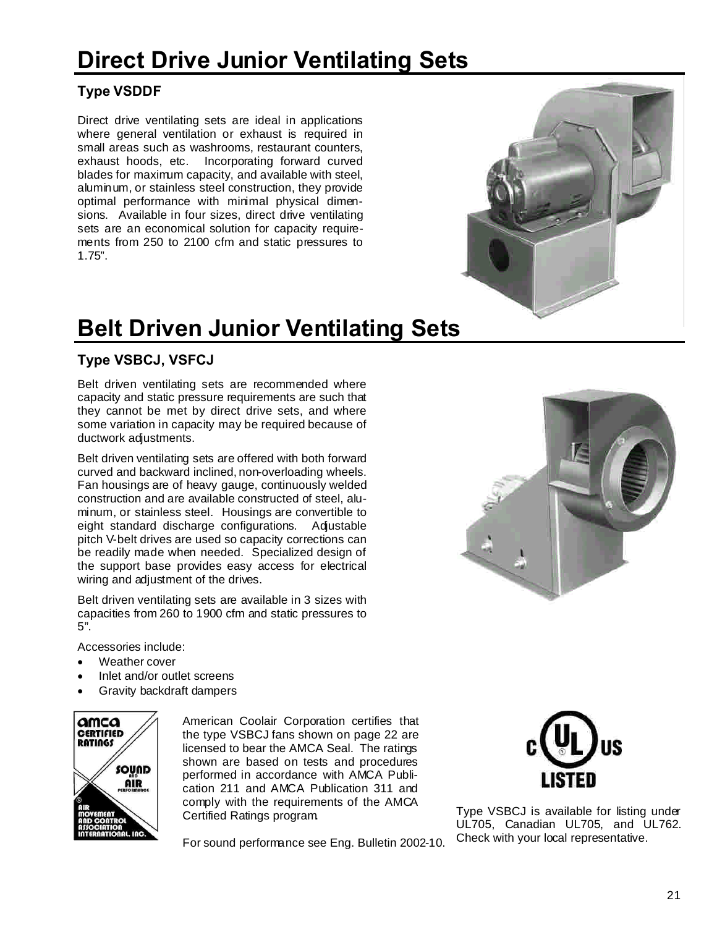# **Direct Drive Junior Ventilating Sets**

### **Type VSDDF**

Direct drive ventilating sets are ideal in applications where general ventilation or exhaust is required in small areas such as washrooms, restaurant counters, exhaust hoods, etc. Incorporating forward curved blades for maximum capacity, and available with steel, aluminum, or stainless steel construction, they provide optimal performance with minimal physical dimensions. Available in four sizes, direct drive ventilating sets are an economical solution for capacity requirements from 250 to 2100 cfm and static pressures to 1.75".

# **Belt Driven Junior Ventilating Sets**

#### **Type VSBCJ, VSFCJ**

Belt driven ventilating sets are recommended where capacity and static pressure requirements are such that they cannot be met by direct drive sets, and where some variation in capacity may be required because of ductwork adjustments.

Belt driven ventilating sets are offered with both forward curved and backward inclined, non-overloading wheels. Fan housings are of heavy gauge, continuously welded construction and are available constructed of steel, aluminum, or stainless steel. Housings are convertible to eight standard discharge configurations. Adjustable pitch V-belt drives are used so capacity corrections can be readily made when needed. Specialized design of the support base provides easy access for electrical wiring and adjustment of the drives.

Belt driven ventilating sets are available in 3 sizes with capacities from 260 to 1900 cfm and static pressures to 5".

Accessories include:

- · Weather cover
- Inlet and/or outlet screens
- Gravity backdraft dampers



American Coolair Corporation certifies that the type VSBCJ fans shown on page 22 are licensed to bear the AMCA Seal. The ratings shown are based on tests and procedures performed in accordance with AMCA Publication 211 and AMCA Publication 311 and comply with the requirements of the AMCA Certified Ratings program.

For sound performance see Eng. Bulletin 2002-10.



Type VSBCJ is available for listing under UL705, Canadian UL705, and UL762. Check with your local representative.

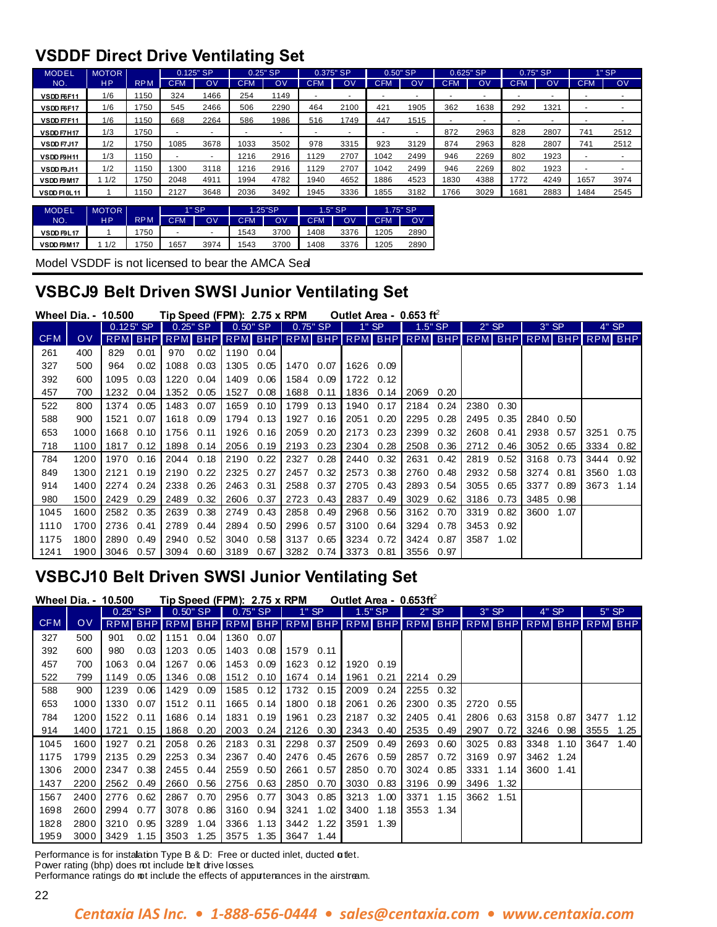### **VSDDF Direct Drive Ventilating Set**

| <b>MODEL</b> | <b>MOTOR</b> |            |            | 0.125" SP |            | $0.25"$ SP | 0.375" SP  |      |            | $0.50"$ SP     | 0.625" SP  |      |            | $0.75"$ SP |            | $1"$ SP |
|--------------|--------------|------------|------------|-----------|------------|------------|------------|------|------------|----------------|------------|------|------------|------------|------------|---------|
| NO.          | <b>HP</b>    | <b>RPM</b> | <b>CFM</b> | OV        | <b>CFM</b> | O٧         | <b>CFM</b> | OV   | <b>CFM</b> | O <sub>V</sub> | <b>CFM</b> | OV   | <b>CFM</b> | OV         | <b>CFM</b> | OV      |
| VSDD F6F11   | 1/6          | 1150       | 324        | 1466      | 254        | 1149       |            |      |            | -              |            | ۰    |            |            |            |         |
| VSDD F6F17   | 1/6          | 1750       | 545        | 2466      | 506        | 2290       | 464        | 2100 | 421        | 1905           | 362        | 1638 | 292        | 1321       |            |         |
| VSDD F7F11   | 1/6          | 1150       | 668        | 2264      | 586        | 1986       | 516        | 1749 | 447        | 1515           |            |      |            |            |            |         |
| VSDD F7H17   | 1/3          | 1750       |            |           |            |            |            |      |            |                | 872        | 2963 | 828        | 2807       | 741        | 2512    |
| VSDD F7J17   | 1/2          | 1750       | 1085       | 3678      | 1033       | 3502       | 978        | 3315 | 923        | 3129           | 874        | 2963 | 828        | 2807       | 741        | 2512    |
| VSDD F9H11   | 1/3          | 1150       |            |           | 1216       | 2916       | 1129       | 2707 | 1042       | 2499           | 946        | 2269 | 802        | 1923       |            |         |
| VSDD F9J11   | 1/2          | 1150       | 1300       | 3118      | 1216       | 2916       | 1129       | 2707 | 1042       | 2499           | 946        | 2269 | 802        | 1923       |            |         |
| VSDD F9M17   | 1/2          | 1750       | 2048       | 4911      | 1994       | 4782       | 1940       | 4652 | 1886       | 4523           | 1830       | 4388 | 1772       | 4249       | 1657       | 3974    |
| VSDD F10L11  |              | 1150       | 2127       | 3648      | 2036       | 3492       | 1945       | 3336 | 1855       | 3182           | 766        | 3029 | 1681       | 2883       | 1484       | 2545    |

| <b>MODEL</b> | <b>MOTOR</b> |            |            | $1"$ SP |            | 1.25"SP | $1.5"$ SP  |      | $1.75"$ SP |      |  |
|--------------|--------------|------------|------------|---------|------------|---------|------------|------|------------|------|--|
| NO.          | НP           | <b>RPM</b> | <b>CFM</b> | O٧      | <b>CFM</b> | OV      | <b>CFM</b> | OV   | CFM        | ov   |  |
| VSDD F9L17   |              | 750        |            |         | 1543       | 3700    | 1408       | 3376 | 1205       | 2890 |  |
| VSDD F9M17   | 1/2          | 750        | 1657       | 3974    | 1543       | 3700    | 1408       | 3376 | 1205       | 2890 |  |

Model VSDDF is not licensed to bear the AMCA Seal

### **VSBCJ9 Belt Driven SWSI Junior Ventilating Set**

|            | <b>Wheel Dia. - 10.500</b> |            |             |                        |      | Tip Speed (FPM): 2.75 x RPM |      |            |      |      | Outlet Area - $0.653$ ft |                                         |      |         |      |         |      |                |       |
|------------|----------------------------|------------|-------------|------------------------|------|-----------------------------|------|------------|------|------|--------------------------|-----------------------------------------|------|---------|------|---------|------|----------------|-------|
|            |                            |            | $0.125"$ SP | $0.25"$ SP $^{\prime}$ |      | $0.50"$ SP                  |      | $0.75"$ SP |      |      | " SP                     | $1.5"$ SP                               |      | $2"$ SP |      | $3"$ SP |      |                | 4" SP |
| <b>CFM</b> | OV                         | <b>RPM</b> |             |                        |      | BHP RPM BHP RPM BHP         |      |            |      |      |                          | RPM BHP RPM BHP RPM BHP RPM BHP RPM BHP |      |         |      |         |      | <b>RPM BHP</b> |       |
| 261        | 400                        | 829        | 0.01        | 970                    | 0.02 | 1190 0.04                   |      |            |      |      |                          |                                         |      |         |      |         |      |                |       |
| 327        | 500                        | 964        | 0.02        | 1088                   | 0.03 | 1305                        | 0.05 | 1470       | 0.07 | 1626 | 0.09                     |                                         |      |         |      |         |      |                |       |
| 392        | 600                        | 1095       | 0.03        | 1220                   | 0.04 | 1409                        | 0.06 | 1584       | 0.09 | 1722 | 0.12                     |                                         |      |         |      |         |      |                |       |
| 457        | 700                        | 1232       | 0.04        | 1352                   | 0.05 | 1527                        | 0.08 | 1688       | 0.11 | 1836 | 0.14                     | 2069                                    | 0.20 |         |      |         |      |                |       |
| 522        | 800                        | 1374       | 0.05        | 1483                   | 0.07 | 1659                        | 0.10 | 1799       | 0.13 | 1940 | 0.17                     | 2184                                    | 0.24 | 2380    | 0.30 |         |      |                |       |
| 588        | 900                        | 1521       | 0.07        | 1618                   | 0.09 | 1794                        | 0.13 | 1927       | 0.16 | 2051 | 0.20                     | 2295                                    | 0.28 | 2495    | 0.35 | 2840    | 0.50 |                |       |
| 653        | 1000                       | 1668       | 0.10        | 1756                   | 0.11 | 1926                        | 0.16 | 2059       | 0.20 | 2173 | 0.23                     | 2399                                    | 0.32 | 2608    | 0.41 | 2938    | 0.57 | 3251           | 0.75  |
| 718        | 1100                       | 1817       | 0.12        | 1898                   | 0.14 | 2056                        | 0.19 | 2193       | 0.23 | 2304 | 0.28                     | 2508                                    | 0.36 | 2712    | 0.46 | 3052    | 0.65 | 3334           | 0.82  |
| 784        | 1200                       | 1970       | 0.16        | 2044                   | 0.18 | 2190                        | 0.22 | 2327       | 0.28 | 2440 | 0.32                     | 2631                                    | 0.42 | 2819    | 0.52 | 3168    | 0.73 | 3444           | 0.92  |
| 849        | 1300                       | 2121       | 0.19        | 2190                   | 0.22 | 2325                        | 0.27 | 2457       | 0.32 | 2573 | 0.38                     | 2760                                    | 0.48 | 2932    | 0.58 | 3274    | 0.81 | 3560           | 1.03  |
| 914        | 1400                       | 2274       | 0.24        | 2338                   | 0.26 | 2463                        | 0.31 | 2588       | 0.37 | 2705 | 0.43                     | 2893                                    | 0.54 | 3055    | 0.65 | 3377    | 0.89 | 3673           | 1.14  |
| 980        | 1500                       | 2429       | 0.29        | 2489                   | 0.32 | 2606                        | 0.37 | 2723       | 0.43 | 2837 | 0.49                     | 3029                                    | 0.62 | 3186    | 0.73 | 3485    | 0.98 |                |       |
| 1045       | 1600                       | 2582       | 0.35        | 2639                   | 0.38 | 2749                        | 0.43 | 2858       | 0.49 | 2968 | 0.56                     | 3162                                    | 0.70 | 3319    | 0.82 | 3600    | 1.07 |                |       |
| 1110       | 1700                       | 2736       | 0.41        | 2789                   | 0.44 | 2894                        | 0.50 | 2996       | 0.57 | 3100 | 0.64                     | 3294                                    | 0.78 | 3453    | 0.92 |         |      |                |       |
| 1175       | 1800                       | 2890       | 0.49        | 2940                   | 0.52 | 3040                        | 0.58 | 3137       | 0.65 | 3234 | 0.72                     | 3424                                    | 0.87 | 3587    | 1.02 |         |      |                |       |
| 1241       | 1900                       | 3046       | 0.57        | 3094                   | 0.60 | 3189                        | 0.67 | 3282       | 0.74 | 3373 | 0.81                     | 3556                                    | 0.97 |         |      |         |      |                |       |

### **VSBCJ10 Belt Driven SWSI Junior Ventilating Set**

|            | <b>Wheel Dia. - 10.500</b> |      |            | Tip Speed (FPM): 2.75 x RPM                                             |      |           |            |      |       | Outlet Area - $0.653ff2$ |      |         |      |         |      |         |      |                |         |
|------------|----------------------------|------|------------|-------------------------------------------------------------------------|------|-----------|------------|------|-------|--------------------------|------|---------|------|---------|------|---------|------|----------------|---------|
|            |                            |      | $0.25"$ SP | $0.50"$ SP                                                              |      |           | $0.75"$ SP |      | 1" SP | $1.5"$ SP                |      | $2"$ SP |      | $3"$ SP |      | $4"$ SP |      |                | $5"$ SP |
| <b>CFM</b> | <b>OV</b>                  |      |            | RPM BHP RPM BHP RPM BHP RPM BHP RPM BHP RPM BHP RPM BHP RPM BHP RPM BHP |      |           |            |      |       |                          |      |         |      |         |      |         |      | <b>RPM BHP</b> |         |
| 327        | 500                        | 901  | 0.02       | 1151                                                                    | 0.04 | 1360 0.07 |            |      |       |                          |      |         |      |         |      |         |      |                |         |
| 392        | 600                        | 980  | 0.03       | 1203                                                                    | 0.05 | 1403      | 0.08       | 1579 | 0.11  |                          |      |         |      |         |      |         |      |                |         |
| 457        | 700                        | 1063 | 0.04       | 1267                                                                    | 0.06 | 1453 0.09 |            | 1623 | 0.12  | 1920                     | 0.19 |         |      |         |      |         |      |                |         |
| 522        | 799                        | 1149 | 0.05       | 1346                                                                    | 0.08 | 1512 0.10 |            | 1674 | 0.14  | 1961                     | 0.21 | 2214    | 0.29 |         |      |         |      |                |         |
| 588        | 900                        | 1239 | 0.06       | 1429                                                                    | 0.09 | 1585 0.12 |            | 1732 | 0.15  | 2009                     | 0.24 | 2255    | 0.32 |         |      |         |      |                |         |
| 653        | 1000                       | 1330 | 0.07       | 1512                                                                    | 0.11 | 1665 0.14 |            | 1800 | 0.18  | 2061                     | 0.26 | 2300    | 0.35 | 2720    | 0.55 |         |      |                |         |
| 784        | 1200                       | 1522 | 0.11       | 1686                                                                    | 0.14 | 1831      | 0.19       | 1961 | 0.23  | 2187                     | 0.32 | 2405    | 0.41 | 2806    | 0.63 | 3158    | 0.87 | 3477           | 1.12    |
| 914        | 1400                       | 1721 | 0.15       | 1868                                                                    | 0.20 | 2003 0.24 |            | 2126 | 0.30  | 2343                     | 0.40 | 2535    | 0.49 | 2907    | 0.72 | 3246    | 0.98 | 3555           | 1.25    |
| 1045       | 1600                       | 1927 | 0.21       | 2058                                                                    | 0.26 | 2183 0.31 |            | 2298 | 0.37  | 2509                     | 0.49 | 2693    | 0.60 | 3025    | 0.83 | 3348    | 1.10 | 3647           | 1.40    |
| 1175       | 1799                       | 2135 | 0.29       | 2253                                                                    | 0.34 | 2367      | 0.40       | 2476 | 0.45  | 2676                     | 0.59 | 2857    | 0.72 | 3169    | 0.97 | 3462    | 1.24 |                |         |
| 1306       | 2000                       | 2347 | 0.38       | 2455                                                                    | 0.44 | 2559      | 0.50       | 2661 | 0.57  | 2850                     | 0.70 | 3024    | 0.85 | 3331    | 1.14 | 3600    | 1.41 |                |         |
| 1437       | 2200                       | 2562 | 0.49       | 2660                                                                    | 0.56 | 2756 0.63 |            | 2850 | 0.70  | 3030                     | 0.83 | 3196    | 0.99 | 3496    | 1.32 |         |      |                |         |
| 1567       | 2400                       | 2776 | 0.62       | 2867                                                                    | 0.70 | 2956 0.77 |            | 3043 | 0.85  | 3213                     | 1.00 | 3371    | 1.15 | 3662    | 1.51 |         |      |                |         |
| 1698       | 2600                       | 2994 | 0.77       | 3078                                                                    | 0.86 | 3160 0.94 |            | 3241 | 1.02  | 3400                     | 1.18 | 3553    | 1.34 |         |      |         |      |                |         |
| 1828       | 2800                       | 3210 | 0.95       | 3289                                                                    | 1.04 | 3366      | 1.13       | 3442 | 1.22  | 3591                     | 1.39 |         |      |         |      |         |      |                |         |
| 1959       | 3000                       | 3429 | 1.15       | 3503                                                                    | 1.25 | 3575      | 1.35       | 3647 | 1.44  |                          |      |         |      |         |      |         |      |                |         |

Performance is for instalation Type B & D: Free or ducted inlet, ducted  $\alpha$  tlet.

Power rating (bhp) does rot include belt drive losses.

Performance ratings do not include the effects of appurtenances in the airstream.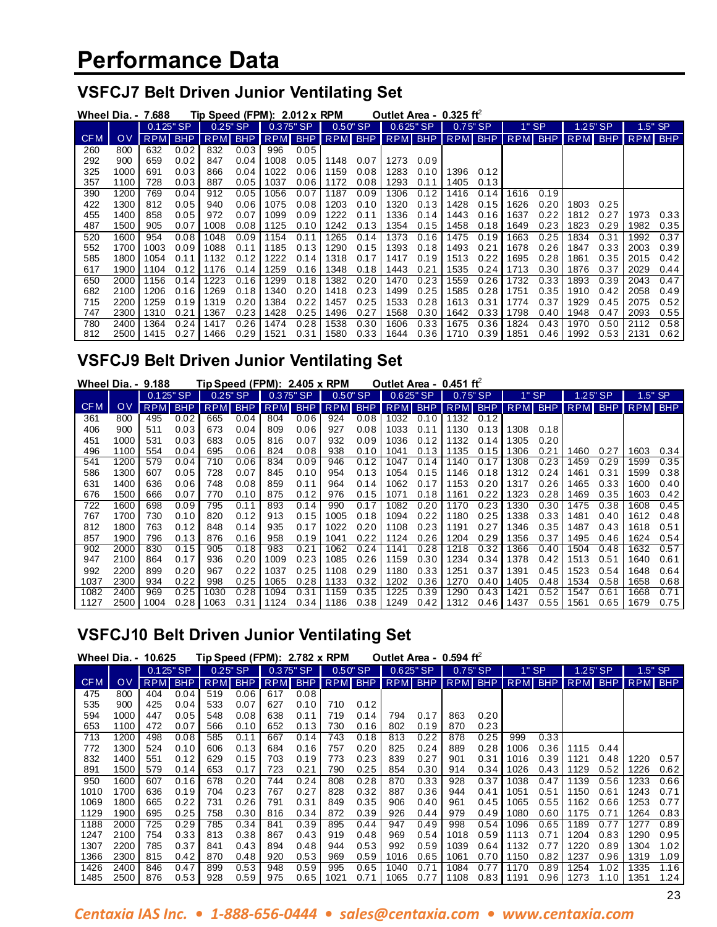### **VSFCJ7 Belt Driven Junior Ventilating Set**

|            |      | <b>Wheel Dia. - 7.688</b> |                           |            |      | Tip Speed (FPM): $2.012 \times$ RPM |      |      |             | Outlet Area - $0.325$ ft |            |      |         |                                         |          |         |           |                |      |
|------------|------|---------------------------|---------------------------|------------|------|-------------------------------------|------|------|-------------|--------------------------|------------|------|---------|-----------------------------------------|----------|---------|-----------|----------------|------|
|            |      |                           | $0.125"$ SP<br>$0.25"$ SP |            |      | $0.50"$ SP<br>$0.375"$ SP           |      |      | $0.625"$ SP |                          | $0.75"$ SP |      | $1"$ SP |                                         | 1.25" SP |         | $1.5"$ SP |                |      |
| <b>CFM</b> | OV   | <b>RPM</b>                | BHP                       | <b>RPM</b> | BHP  |                                     |      |      |             |                          |            |      |         | RPM BHP RPM BHP RPM BHP RPM BHP RPM BHP |          | RPM BHP |           | <b>RPM BHP</b> |      |
| 260        | 800  | 632                       | 0.02                      | 832        | 0.03 | 996                                 | 0.05 |      |             |                          |            |      |         |                                         |          |         |           |                |      |
| 292        | 900  | 659                       | 0.02                      | 847        | 0.04 | 1008                                | 0.05 | 1148 | 0.07        | 1273                     | 0.09       |      |         |                                         |          |         |           |                |      |
| 325        | 1000 | 691                       | 0.03                      | 866        | 0.04 | 1022                                | 0.06 | 1159 | 0.08        | 1283                     | 0.10       | 1396 | 0.12    |                                         |          |         |           |                |      |
| 357        | 1100 | 728                       | 0.03                      | 887        | 0.05 | 1037                                | 0.06 | 1172 | 0.08        | 1293                     | 0.11       | 1405 | 0.13    |                                         |          |         |           |                |      |
| 390        | 1200 | 769                       | 0.04                      | 912        | 0.05 | 1056                                | 0.07 | 1187 | 0.09        | 1306                     | 0.12       | 1416 | 0.14    | 1616                                    | 0.19     |         |           |                |      |
| 422        | 1300 | 812                       | 0.05                      | 940        | 0.06 | 1075                                | 0.08 | 1203 | 0.10        | 1320                     | 0.13       | 1428 | 0.15    | 1626                                    | 0.20     | 1803    | 0.25      |                |      |
| 455        | 1400 | 858                       | 0.05                      | 972        | 0.07 | 1099                                | 0.09 | 1222 | 0.11        | 1336                     | 0.14       | 1443 | 0.16    | 1637                                    | 0.22     | 1812    | 0.27      | 1973           | 0.33 |
| 487        | 1500 | 905                       | 0.07                      | 1008       | 0.08 | 1125                                | 0.10 | 1242 | 0.13        | 1354                     | 0.15       | 1458 | 0.18    | 1649                                    | 0.23     | 1823    | 0.29      | 1982           | 0.35 |
| 520        | 1600 | 954                       | 0.08                      | 1048       | 0.09 | 1154                                | 0.11 | 1265 | 0.14        | 1373                     | 0.16       | 1475 | 0.19    | 1663                                    | 0.25     | 1834    | 0.31      | 1992           | 0.37 |
| 552        | 1700 | 1003                      | 0.09                      | 1088       | 0.11 | 1185                                | 0.13 | 1290 | 0.15        | 1393                     | 0.18       | 1493 | 0.21    | 1678                                    | 0.26     | 1847    | 0.33      | 2003           | 0.39 |
| 585        | 1800 | 1054                      | 0.11                      | 1132       | 0.12 | 1222                                | 0.14 | 1318 | 0.17        | 1417                     | 0.19       | 1513 | 0.22    | 1695                                    | 0.28     | 1861    | 0.35      | 2015           | 0.42 |
| 617        | 1900 | 1104                      | 0.12                      | 1176       | 0.14 | 1259                                | 0.16 | 1348 | 0.18        | 1443                     | 0.21       | 1535 | 0.24    | 1713                                    | 0.30     | 1876    | 0.37      | 2029           | 0.44 |
| 650        | 2000 | 1156                      | 0.14                      | 223        | 0.16 | 1299                                | 0.18 | 1382 | 0.20        | 1470                     | 0.23       | 1559 | 0.26    | 1732                                    | 0.33     | 1893    | 0.39      | 2043           | 0.47 |
| 682        | 2100 | 1206                      | 0.16                      | 1269       | 0.18 | 1340                                | 0.20 | 1418 | 0.23        | 1499                     | 0.25       | 1585 | 0.28    | 1751                                    | 0.35     | 1910    | 0.42      | 2058           | 0.49 |
| 715        | 2200 | 1259                      | 0.19                      | 1319       | 0.20 | 1384                                | 0.22 | 1457 | 0.25        | 1533                     | 0.28       | 1613 | 0.31    | 1774                                    | 0.37     | 1929    | 0.45      | 2075           | 0.52 |
| 747        | 2300 | 1310                      | 0.21                      | 1367       | 0.23 | 1428                                | 0.25 | 1496 | 0.27        | 1568                     | 0.30       | 1642 | 0.33    | 1798                                    | 0.40     | 1948    | 0.47      | 2093           | 0.55 |
| 780        | 2400 | 1364                      | 0.24                      | 1417       | 0.26 | 1474                                | 0.28 | 1538 | 0.30        | 1606                     | 0.33       | 1675 | 0.36    | 1824                                    | 0.43     | 1970    | 0.50      | 2112           | 0.58 |
| 812        | 2500 | 1415                      | 0.27                      | 1466       | 0.29 | 1521                                | 0.31 | 1580 | 0.33        | 1644                     | 0.36       | 1710 | 0.39    | 1851                                    | 0.46     | 1992    | 0.53      | 2131           | 0.62 |

### **VSFCJ9 Belt Driven Junior Ventilating Set**

|            | Wheel Dia. - | 9.188      |             |            |            | Tip Speed (FPM): 2.405 x RPM |            |            |            | Outlet Area - $0.451$ ft |             |                |      |            |      |            |            |                |         |
|------------|--------------|------------|-------------|------------|------------|------------------------------|------------|------------|------------|--------------------------|-------------|----------------|------|------------|------|------------|------------|----------------|---------|
|            |              |            | $0.125"$ SP | $0.25"$ SP |            | $0.375"$ SP                  |            |            | $0.50"$ SP |                          | $0.625"$ SP | $0.75$ "SP     |      | $1"$ SP    |      |            | $1.25"$ SP |                | 1.5" SP |
| <b>CFM</b> | OV           | <b>RPM</b> | <b>BHP</b>  | <b>RPM</b> | <b>BHP</b> | <b>RPM</b>                   | <b>BHP</b> | <b>RPM</b> | <b>BHP</b> |                          | RPM BHP     | <b>RPM BHP</b> |      | <b>RPM</b> | BHP  | <b>RPM</b> | <b>BHP</b> | <b>RPM BHP</b> |         |
| 361        | 800          | 495        | 0.02        | 665        | 0.04       | 804                          | 0.06       | 924        | 0.08       | 1032                     | 0.10        | 1132           | 0.12 |            |      |            |            |                |         |
| 406        | 900          | 511        | 0.03        | 673        | 0.04       | 809                          | 0.06       | 927        | 0.08       | 1033                     | 0.11        | 1130           | 0.13 | 1308       | 0.18 |            |            |                |         |
| 451        | 1000         | 531        | 0.03        | 683        | 0.05       | 816                          | 0.07       | 932        | 0.09       | 1036                     | 0.12        | 1132           | 0.14 | 1305       | 0.20 |            |            |                |         |
| 496        | 1100         | 554        | 0.04        | 695        | 0.06       | 824                          | 0.08       | 938        | 0.10       | 1041                     | 0.13        | 1135           | 0.15 | 1306       | 0.21 | 1460       | 0.27       | 1603           | 0.34    |
| 541        | 1200         | 579        | 0.04        | 710        | 0.06       | 834                          | 0.09       | 946        | 0.12       | 1047                     | 0.14        | 1140           | 0.17 | 1308       | 0.23 | 1459       | 0.29       | 1599           | 0.35    |
| 586        | 1300         | 607        | 0.05        | 728        | 0.07       | 845                          | 0.10       | 954        | 0.13       | 1054                     | 0.15        | 1146           | 0.18 | 1312       | 0.24 | 1461       | 0.31       | 1599           | 0.38    |
| 631        | 1400         | 636        | 0.06        | 748        | 0.08       | 859                          | 0.11       | 964        | 0.14       | 1062                     | 0.17        | 1153           | 0.20 | 1317       | 0.26 | 1465       | 0.33       | 1600           | 0.40    |
| 676        | 500          | 666        | 0.07        | 770        | 0.10       | 875                          | 0.12       | 976        | 0.15       | 1071                     | 0.18        | 1161           | 0.22 | 1323       | 0.28 | 1469       | 0.35       | 1603           | 0.42    |
| 722        | 1600         | 698        | 0.09        | 795        | 0.11       | 893                          | 0.14       | 990        | 0.17       | 1082                     | 0.20        | 1170           | 0.23 | 1330       | 0.30 | 1475       | 0.38       | 1608           | 0.45    |
| 767        | 1700         | 730        | 0.10        | 820        | 0.12       | 913                          | 0.15       | 1005       | 0.18       | 1094                     | 0.22        | 1180           | 0.25 | 1338       | 0.33 | 1481       | 0.40       | 1612           | 0.48    |
| 812        | 1800         | 763        | 0.12        | 848        | 0.14       | 935                          | 0.17       | 1022       | 0.20       | 1108                     | 0.23        | 1191           | 0.27 | 1346       | 0.35 | 1487       | 0.43       | 1618           | 0.51    |
| 857        | 1900         | 796        | 0.13        | 876        | 0.16       | 958                          | 0.19       | 1041       | 0.22       | 1124                     | 0.26        | 1204           | 0.29 | 1356       | 0.37 | 1495       | 0.46       | 1624           | 0.54    |
| 902        | 2000         | 830        | 0.15        | 905        | 0.18       | 983                          | 0.21       | 1062       | 0.24       | 1141                     | 0.28        | 1218           | 0.32 | 1366       | 0.40 | 1504       | 0.48       | 1632           | 0.57    |
| 947        | 2100         | 864        | 0.17        | 936        | 0.20       | 1009                         | 0.23       | 1085       | 0.26       | 1159                     | 0.30        | 1234           | 0.34 | 1378       | 0.42 | 1513       | 0.51       | 1640           | 0.61    |
| 992        | 2200         | 899        | 0.20        | 967        | 0.22       | 1037                         | 0.25       | 1108       | 0.29       | 1180                     | 0.33        | 1251           | 0.37 | 1391       | 0.45 | 1523       | 0.54       | 1648           | 0.64    |
| 1037       | 2300         | 934        | 0.22        | 998        | 0.25       | 1065                         | 0.28       | 1133       | 0.32       | 1202                     | 0.36        | 1270           | 0.40 | 1405       | 0.48 | 1534       | 0.58       | 1658           | 0.68    |
| 1082       | 2400         | 969        | 0.25        | 1030       | 0.28       | 1094                         | 0.31       | 159        | 0.35       | 1225                     | 0.39        | 1290           | 0.43 | 1421       | 0.52 | 1547       | 0.61       | 1668           | 0.71    |
| 1127       | 2500         | 1004       | 0.28        | 1063       | 0.31       | 1124                         | 0.34       | 186        | 0.38       | 1249                     | 0.42        | 1312           | 0.46 | 1437       | 0.55 | 1561       | 0.65       | 1679           | 0.75    |

### **VSFCJ10 Belt Driven Junior Ventilating Set**

|            | <b>Wheel Dia. - 10.625</b> |            |             |            | Tip Speed (FPM): 2.782 x RPM |         |             |      |            | Outlet Area - $0.594$ ft |             |            |      |                                 |         |      |                |                |          |  |
|------------|----------------------------|------------|-------------|------------|------------------------------|---------|-------------|------|------------|--------------------------|-------------|------------|------|---------------------------------|---------|------|----------------|----------------|----------|--|
|            |                            |            | $0.125"$ SP |            | $0.25"$ SP                   |         | $0.375"$ SP |      | $0.50"$ SP |                          | $0.625"$ SP | $0.75$ "SP |      |                                 | $1"$ SP |      | $1.25"$ SP     |                | $.5"$ SP |  |
| <b>CFM</b> | $\overline{O}V$            | <b>RPM</b> | <b>BHP</b>  | <b>RPM</b> |                              | BHP RPM | <b>BHP</b>  |      |            |                          |             |            |      | RPM BHP RPM BHP RPM BHP RPM BHP |         |      | <b>RPM BHP</b> | <b>RPM BHP</b> |          |  |
| 475        | 800                        | 404        | 0.04        | 519        | 0.06                         | 617     | 0.08        |      |            |                          |             |            |      |                                 |         |      |                |                |          |  |
| 535        | 900                        | 425        | 0.04        | 533        | 0.07                         | 627     | 0.10        | 710  | 0.12       |                          |             |            |      |                                 |         |      |                |                |          |  |
| 594        | 1000                       | 447        | 0.05        | 548        | 0.08                         | 638     | 0.11        | 719  | 0.14       | 794                      | 0.17        | 863        | 0.20 |                                 |         |      |                |                |          |  |
| 653        | 1100                       | 472        | 0.07        | 566        | 0.10                         | 652     | 0.13        | 730  | 0.16       | 802                      | 0.19        | 870        | 0.23 |                                 |         |      |                |                |          |  |
| 713        | 1200                       | 498        | 0.08        | 585        | 0.11                         | 667     | 0.14        | 743  | 0.18       | 813                      | 0.22        | 878        | 0.25 | 999                             | 0.33    |      |                |                |          |  |
| 772        | 1300                       | 524        | 0.10        | 606        | 0.13                         | 684     | 0.16        | 757  | 0.20       | 825                      | 0.24        | 889        | 0.28 | 1006                            | 0.36    | 1115 | 0.44           |                |          |  |
| 832        | 1400                       | 551        | 0.12        | 629        | 0.15                         | 703     | 0.19        | 773  | 0.23       | 839                      | 0.27        | 901        | 0.31 | 1016                            | 0.39    | 1121 | 0.48           | 1220           | 0.57     |  |
| 891        | 1500                       | 579        | 0.14        | 653        | 0.17                         | 723     | 0.21        | 790  | 0.25       | 854                      | 0.30        | 914        | 0.34 | 1026                            | 0.43    | 1129 | 0.52           | 1226           | 0.62     |  |
| 950        | 1600                       | 607        | 0.16        | 678        | 0.20                         | 744     | 0.24        | 808  | 0.28       | 870                      | 0.33        | 928        | 0.37 | 1038                            | 0.47    | 1139 | 0.56           | 1233           | 0.66     |  |
| 1010       | 1700                       | 636        | 0.19        | 704        | 0.23                         | 767     | 0.27        | 828  | 0.32       | 887                      | 0.36        | 944        | 0.41 | 1051                            | 0.51    | 1150 | 0.61           | 1243           | 0.71     |  |
| 1069       | 1800                       | 665        | 0.22        | 731        | 0.26                         | 791     | 0.31        | 849  | 0.35       | 906                      | 0.40        | 961        | 0.45 | 1065                            | 0.55    | 1162 | 0.66           | 1253           | 0.77     |  |
| 1129       | 1900                       | 695        | 0.25        | 758        | 0.30                         | 816     | 0.34        | 872  | 0.39       | 926                      | 0.44        | 979        | 0.49 | 1080                            | 0.60    | 1175 | 0.71           | 1264           | 0.83     |  |
| 1188       | 2000                       | 725        | 0.29        | 785        | 0.34                         | 841     | 0.39        | 895  | 0.44       | 947                      | 0.49        | 998        | 0.54 | 1096                            | 0.65    | 1189 | 0.77           | 1277           | 0.89     |  |
| 1247       | 2100                       | 754        | 0.33        | 813        | 0.38                         | 867     | 0.43        | 919  | 0.48       | 969                      | 0.54        | 1018       | 0.59 | 1113                            | 0.71    | 1204 | 0.83           | 1290           | 0.95     |  |
| 1307       | 2200                       | 785        | 0.37        | 841        | 0.43                         | 894     | 0.48        | 944  | 0.53       | 992                      | 0.59        | 1039       | 0.64 | 1132                            | 0.77    | 1220 | 0.89           | 1304           | 1.02     |  |
| 1366       | 2300                       | 815        | 0.42        | 870        | 0.48                         | 920     | 0.53        | 969  | 0.59       | 1016                     | 0.65        | 1061       | 0.70 | 1150                            | 0.82    | 1237 | 0.96           | 1319           | 1.09     |  |
| 1426       | 2400                       | 846        | 0.47        | 899        | 0.53                         | 948     | 0.59        | 995  | 0.65       | 1040                     | 0.71        | 1084       | 0.77 | 1170                            | 0.89    | 1254 | 1.02           | 335            | 1.16     |  |
| 1485       | 2500                       | 876        | 0.53        | 928        | 0.59                         | 975     | 0.65        | 1021 | 0.71       | 1065                     | 0.77        | 1108       |      | $0.83$   1191                   | 0.96    | 1273 | 1.10           | 1351           | 1.24     |  |